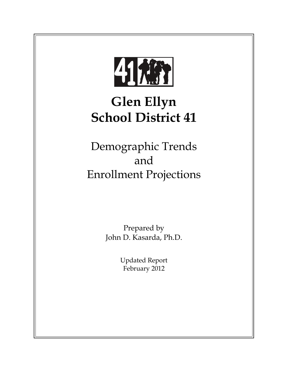

# **Glen Ellyn School District 41**

Demographic Trends and Enrollment Projections

> Prepared by John D. Kasarda, Ph.D.

> > Updated Report February 2012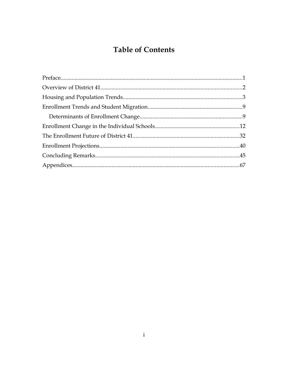# **Table of Contents**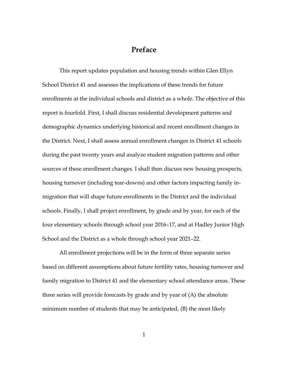### Preface

This report updates population and housing trends within Glen Ellyn School District 41 and assesses the implications of these trends for future enrollments at the individual schools and district as a whole. The objective of this report is fourfold. First, I shall discuss residential development patterns and demographic dynamics underlying historical and recent enrollment changes in the District. Next, I shall assess annual enrollment changes in District 41 schools during the past twenty years and analyze student migration patterns and other sources of these enrollment changes. I shall then discuss new housing prospects, housing turnover (including tear-downs) and other factors impacting family inmigration that will shape future enrollments in the District and the individual schools. Finally, I shall project enrollment, by grade and by year, for each of the four elementary schools through school year 2016-17, and at Hadley Junior High School and the District as a whole through school year 2021–22.

All enrollment projections will be in the form of three separate series based on different assumptions about future fertility rates, housing turnover and family migration to District 41 and the elementary school attendance areas. These three series will provide forecasts by grade and by year of (A) the absolute minimum number of students that may be anticipated, (B) the most likely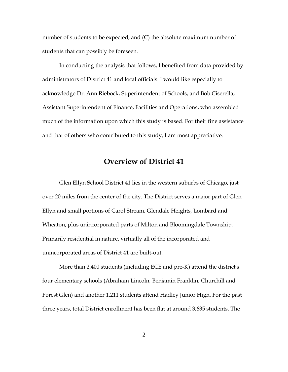number of students to be expected, and (C) the absolute maximum number of students that can possibly be foreseen.

In conducting the analysis that follows, I benefited from data provided by administrators of District 41 and local officials. I would like especially to acknowledge Dr. Ann Riebock, Superintendent of Schools, and Bob Ciserella, Assistant Superintendent of Finance, Facilities and Operations, who assembled much of the information upon which this study is based. For their fine assistance and that of others who contributed to this study, I am most appreciative.

### **Overview of District 41**

Glen Ellyn School District 41 lies in the western suburbs of Chicago, just over 20 miles from the center of the city. The District serves a major part of Glen Ellyn and small portions of Carol Stream, Glendale Heights, Lombard and Wheaton, plus unincorporated parts of Milton and Bloomingdale Township. Primarily residential in nature, virtually all of the incorporated and unincorporated areas of District 41 are built-out.

More than 2,400 students (including ECE and pre-K) attend the district's four elementary schools (Abraham Lincoln, Benjamin Franklin, Churchill and Forest Glen) and another 1,211 students attend Hadley Junior High. For the past three years, total District enrollment has been flat at around 3,635 students. The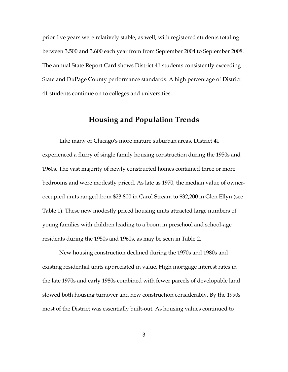prior five years were relatively stable, as well, with registered students totaling between 3,500 and 3,600 each year from from September 2004 to September 2008. The annual State Report Card shows District 41 students consistently exceeding State and DuPage County performance standards. A high percentage of District 41 students continue on to colleges and universities.

### **Housing and Population Trends**

Like many of Chicago's more mature suburban areas, District 41 experienced a flurry of single family housing construction during the 1950s and 1960s. The vast majority of newly constructed homes contained three or more bedrooms and were modestly priced. As late as 1970, the median value of owneroccupied units ranged from \$23,800 in Carol Stream to \$32,200 in Glen Ellyn (see Table 1). These new modestly priced housing units attracted large numbers of young families with children leading to a boom in preschool and school-age residents during the 1950s and 1960s, as may be seen in Table 2.

New housing construction declined during the 1970s and 1980s and existing residential units appreciated in value. High mortgage interest rates in the late 1970s and early 1980s combined with fewer parcels of developable land slowed both housing turnover and new construction considerably. By the 1990s most of the District was essentially built-out. As housing values continued to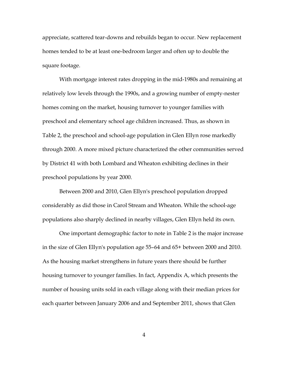appreciate, scattered tear-downs and rebuilds began to occur. New replacement homes tended to be at least one-bedroom larger and often up to double the square footage.

With mortgage interest rates dropping in the mid-1980s and remaining at relatively low levels through the 1990s, and a growing number of empty-nester homes coming on the market, housing turnover to younger families with preschool and elementary school age children increased. Thus, as shown in Table 2, the preschool and school-age population in Glen Ellyn rose markedly through 2000. A more mixed picture characterized the other communities served by District 41 with both Lombard and Wheaton exhibiting declines in their preschool populations by year 2000.

Between 2000 and 2010, Glen Ellyn's preschool population dropped considerably as did those in Carol Stream and Wheaton. While the school-age populations also sharply declined in nearby villages, Glen Ellyn held its own.

One important demographic factor to note in Table 2 is the major increase in the size of Glen Ellyn's population age 55–64 and 65+ between 2000 and 2010. As the housing market strengthens in future years there should be further housing turnover to younger families. In fact, Appendix A, which presents the number of housing units sold in each village along with their median prices for each quarter between January 2006 and and September 2011, shows that Glen

4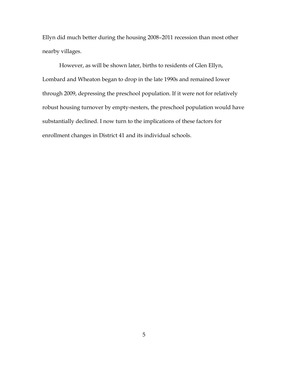Ellyn did much better during the housing 2008-2011 recession than most other nearby villages.

However, as will be shown later, births to residents of Glen Ellyn, Lombard and Wheaton began to drop in the late 1990s and remained lower through 2009, depressing the preschool population. If it were not for relatively robust housing turnover by empty-nesters, the preschool population would have substantially declined. I now turn to the implications of these factors for enrollment changes in District 41 and its individual schools.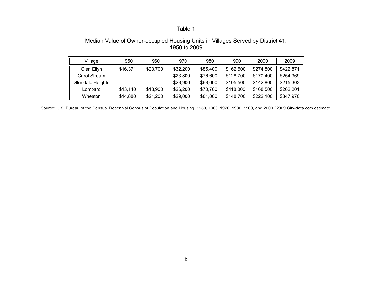### Median Value of Owner-occupied Housing Units in Villages Served by District 41: 1950 to 2009

| Village          | 1950     | 1960     | 1970     | 1980     | 1990      | 2000      | 2009      |
|------------------|----------|----------|----------|----------|-----------|-----------|-----------|
| Glen Ellyn       | \$16,371 | \$23,700 | \$32,200 | \$85,400 | \$162,500 | \$274,800 | \$422,871 |
| Carol Stream     |          |          | \$23,800 | \$76,600 | \$128,700 | \$170,400 | \$254.369 |
| Glendale Heights |          |          | \$23,900 | \$68,000 | \$105,500 | \$142,800 | \$215,303 |
| Lombard          | \$13,140 | \$18,900 | \$26,200 | \$70.700 | \$118,000 | \$168,500 | \$262.201 |
| Wheaton          | \$14,880 | \$21,200 | \$29,000 | \$81,000 | \$148,700 | \$222,100 | \$347,970 |

Source: U.S. Bureau of the Census. Decennial Census of Population and Housing, 1950, 1960, 1970, 1980, 1900, and 2000. \*2009 City-data.com estimate.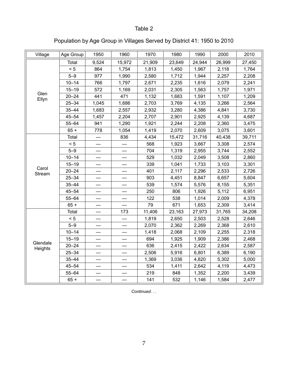# Population by Age Group in Villages Served by District 41: 1950 to 2010

| Village             | Age Group | 1950  | 1960   | 1970   | 1980   | 1990   | 2000   | 2010   |
|---------------------|-----------|-------|--------|--------|--------|--------|--------|--------|
|                     | Total     | 9,524 | 15,972 | 21,909 | 23,649 | 24,944 | 26,999 | 27,450 |
|                     | < 5       | 864   | 1,754  | 1,813  | 1,450  | 1,967  | 2,118  | 1,764  |
|                     | $5 - 9$   | 977   | 1,990  | 2,580  | 1,712  | 1,944  | 2,257  | 2,208  |
|                     | $10 - 14$ | 766   | 1,797  | 2,671  | 2,235  | 1,616  | 2,079  | 2,241  |
|                     | $15 - 19$ | 572   | 1,169  | 2,031  | 2,305  | 1,563  | 1,757  | 1,971  |
| Glen<br>Ellyn       | $20 - 24$ | 441   | 471    | 1,132  | 1,683  | 1,591  | 1,107  | 1,209  |
|                     | $25 - 34$ | 1,045 | 1,686  | 2,703  | 3,769  | 4,135  | 3,266  | 2,564  |
|                     | $35 - 44$ | 1,683 | 2,557  | 2,932  | 3,280  | 4,386  | 4,841  | 3,730  |
|                     | $45 - 54$ | 1,457 | 2,204  | 2,707  | 2,901  | 2,925  | 4,139  | 4,687  |
|                     | $55 - 64$ | 941   | 1,290  | 1,921  | 2,244  | 2,208  | 2,360  | 3,475  |
|                     | $65 +$    | 778   | 1,054  | 1,419  | 2,070  | 2,609  | 3,075  | 3,601  |
|                     | Total     |       | 836    | 4,434  | 15,472 | 31,716 | 40,438 | 39,711 |
|                     | < 5       |       |        | 568    | 1,923  | 3,667  | 3,308  | 2,574  |
|                     | $5 - 9$   |       |        | 704    | 1,319  | 2,955  | 3,744  | 2,552  |
|                     | $10 - 14$ |       |        | 529    | 1,032  | 2,049  | 3,508  | 2,860  |
|                     | $15 - 19$ |       |        | 339    | 1,041  | 1,733  | 3,103  | 3,301  |
| Carol<br>Stream     | $20 - 24$ |       |        | 401    | 2,117  | 2,296  | 2,533  | 2,726  |
|                     | $25 - 34$ |       |        | 903    | 4,451  | 8,847  | 6,657  | 5,604  |
|                     | $35 - 44$ |       |        | 539    | 1,574  | 5,576  | 8,155  | 5,351  |
|                     | $45 - 54$ |       |        | 250    | 806    | 1,926  | 5,112  | 6,951  |
|                     | $55 - 64$ |       |        | 122    | 538    | 1,014  | 2,009  | 4,378  |
|                     | $65 +$    |       |        | 79     | 671    | 1,653  | 2,309  | 3,414  |
|                     | Total     |       | 173    | 11,406 | 23,163 | 27,973 | 31,765 | 34,208 |
|                     | < 5       |       |        | 1,819  | 2,650  | 2,503  | 2,528  | 2,646  |
|                     | $5 - 9$   |       |        | 2,070  | 2,362  | 2,269  | 2,368  | 2,610  |
|                     | $10 - 14$ |       |        | 1,418  | 2,068  | 2,109  | 2,255  | 2,318  |
|                     | $15 - 19$ |       |        | 694    | 1,925  | 1,909  | 2,386  | 2,468  |
| Glendale<br>Heights | $20 - 24$ |       |        | 636    | 2,415  | 2,422  | 2,634  | 2,587  |
|                     | $25 - 34$ |       |        | 2,506  | 5,916  | 6,801  | 6,389  | 6,190  |
|                     | $35 - 44$ |       |        | 1,369  | 3,036  | 4,820  | 5,302  | 5,000  |
|                     | $45 - 54$ |       |        | 534    | 1,411  | 2,642  | 4,119  | 4,473  |
|                     | $55 - 64$ |       |        | 219    | 848    | 1,352  | 2,200  | 3,439  |
|                     | $65 +$    |       |        | 141    | 532    | 1,146  | 1,584  | 2,477  |

*Continued*. . .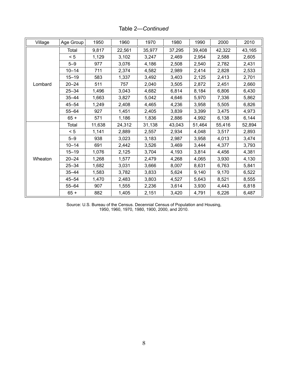| Village | Age Group | 1950   | 1960   | 1970   | 1980   | 1990   | 2000   | 2010   |
|---------|-----------|--------|--------|--------|--------|--------|--------|--------|
|         | Total     | 9,817  | 22,561 | 35,977 | 37,295 | 39,408 | 42,322 | 43,165 |
|         | < 5       | 1,129  | 3,102  | 3,247  | 2,469  | 2,954  | 2,588  | 2,605  |
|         | $5 - 9$   | 977    | 3,076  | 4,186  | 2,508  | 2,540  | 2,782  | 2,431  |
|         | $10 - 14$ | 711    | 2,374  | 4,582  | 2,989  | 2,414  | 2,828  | 2,533  |
|         | $15 - 19$ | 583    | 1,337  | 3,492  | 3,403  | 2,125  | 2,413  | 2,701  |
| Lombard | $20 - 24$ | 511    | 757    | 2,040  | 3,505  | 2,872  | 2,451  | 2,660  |
|         | $25 - 34$ | 1,496  | 3,043  | 4,682  | 6,814  | 8,184  | 6,806  | 6,430  |
|         | $35 - 44$ | 1,663  | 3,827  | 5,042  | 4,646  | 5,970  | 7,336  | 5,862  |
|         | $45 - 54$ | 1,249  | 2,408  | 4,465  | 4,236  | 3,958  | 5,505  | 6,826  |
|         | $55 - 64$ | 927    | 1,451  | 2,405  | 3,839  | 3,399  | 3,475  | 4,973  |
|         | $65 +$    | 571    | 1,186  | 1,836  | 2,886  | 4,992  | 6,138  | 6,144  |
|         | Total     | 11,638 | 24,312 | 31,138 | 43,043 | 51,464 | 55,416 | 52,894 |
|         | < 5       | 1,141  | 2,889  | 2,557  | 2,934  | 4,048  | 3,517  | 2,893  |
|         | $5 - 9$   | 938    | 3,023  | 3,183  | 2,987  | 3,958  | 4,013  | 3,474  |
|         | $10 - 14$ | 691    | 2,442  | 3,526  | 3,469  | 3,444  | 4,377  | 3,793  |
|         | $15 - 19$ | 1,076  | 2,125  | 3,704  | 4,193  | 3,814  | 4,456  | 4,381  |
| Wheaton | $20 - 24$ | 1,268  | 1,577  | 2,479  | 4,268  | 4,065  | 3,930  | 4,130  |
|         | $25 - 34$ | 1,682  | 3,031  | 3,666  | 8,007  | 8,631  | 6,763  | 5,841  |
|         | $35 - 44$ | 1,583  | 3,782  | 3,833  | 5,624  | 9,140  | 9,170  | 6,522  |
|         | $45 - 54$ | 1,470  | 2,483  | 3,803  | 4,527  | 5,643  | 8,521  | 8,555  |
|         | $55 - 64$ | 907    | 1,555  | 2,236  | 3,614  | 3,930  | 4,443  | 6,818  |
|         | $65 +$    | 882    | 1,405  | 2,151  | 3,420  | 4,791  | 6,226  | 6,487  |

Table 2—*Continued*

Source: U.S. Bureau of the Census. Decennial Census of Population and Housing, 1950, 1960, 1970, 1980, 1900, 2000, and 2010.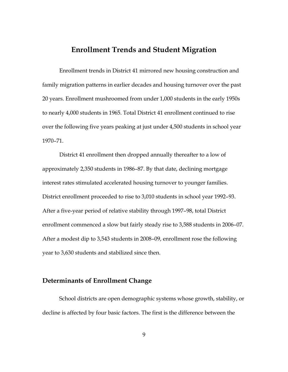### **Enrollment Trends and Student Migration**

Enrollment trends in District 41 mirrored new housing construction and family migration patterns in earlier decades and housing turnover over the past 20 years. Enrollment mushroomed from under 1,000 students in the early 1950s to nearly 4,000 students in 1965. Total District 41 enrollment continued to rise over the following five years peaking at just under 4,500 students in school year 1970-71.

District 41 enrollment then dropped annually thereafter to a low of approximately 2,350 students in 1986–87. By that date, declining mortgage interest rates stimulated accelerated housing turnover to younger families. District enrollment proceeded to rise to 3,010 students in school year 1992-93. After a five-year period of relative stability through 1997–98, total District enrollment commenced a slow but fairly steady rise to 3,588 students in 2006-07. After a modest dip to 3,543 students in 2008–09, enrollment rose the following year to 3,630 students and stabilized since then.

### **Determinants of Enrollment Change**

School districts are open demographic systems whose growth, stability, or decline is affected by four basic factors. The first is the difference between the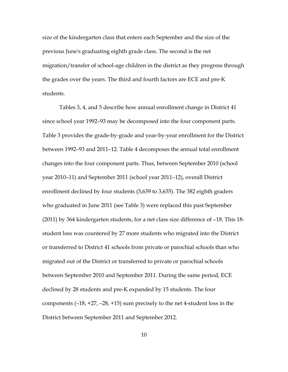size of the kindergarten class that enters each September and the size of the previous June's graduating eighth grade class. The second is the net migration/transfer of school-age children in the district as they progress through the grades over the years. The third and fourth factors are ECE and pre-K students.

Tables 3, 4, and 5 describe how annual enrollment change in District 41 since school year 1992–93 may be decomposed into the four component parts. Table 3 provides the grade-by-grade and year-by-year enrollment for the District between 1992-93 and 2011-12. Table 4 decomposes the annual total enrollment changes into the four component parts. Thus, between September 2010 (school year 2010–11) and September 2011 (school year 2011–12), overall District enrollment declined by four students (3,639 to 3,635). The 382 eighth graders who graduated in June 2011 (see Table 3) were replaced this past September  $(2011)$  by 364 kindergarten students, for a net class size difference of  $-18$ . This 18student loss was countered by 27 more students who migrated into the District or transferred to District 41 schools from private or parochial schools than who migrated out of the District or transferred to private or parochial schools between September 2010 and September 2011. During the same period, ECE declined by 28 students and pre-K expanded by 15 students. The four components  $(-18, +27, -28, +15)$  sum precisely to the net 4-student loss in the District between September 2011 and September 2012.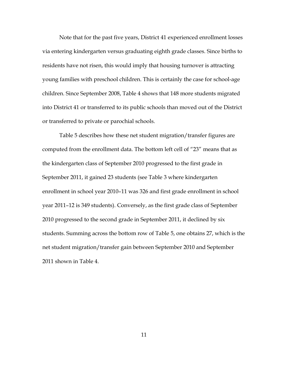Note that for the past five years, District 41 experienced enrollment losses via entering kindergarten versus graduating eighth grade classes. Since births to residents have not risen, this would imply that housing turnover is attracting young families with preschool children. This is certainly the case for school-age children. Since September 2008, Table 4 shows that 148 more students migrated into District 41 or transferred to its public schools than moved out of the District or transferred to private or parochial schools.

Table 5 describes how these net student migration/transfer figures are computed from the enrollment data. The bottom left cell of "23" means that as the kindergarten class of September 2010 progressed to the first grade in September 2011, it gained 23 students (see Table 3 where kindergarten enrollment in school year 2010-11 was 326 and first grade enrollment in school year 2011-12 is 349 students). Conversely, as the first grade class of September 2010 progressed to the second grade in September 2011, it declined by six students. Summing across the bottom row of Table 5, one obtains 27, which is the net student migration/transfer gain between September 2010 and September 2011 shown in Table 4.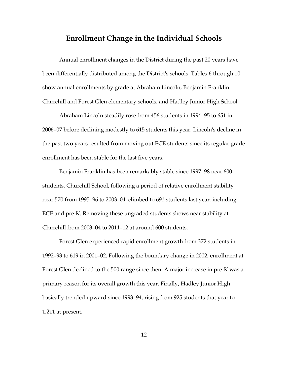### **Enrollment Change in the Individual Schools**

Annual enrollment changes in the District during the past 20 years have been differentially distributed among the District's schools. Tables 6 through 10 show annual enrollments by grade at Abraham Lincoln, Benjamin Franklin Churchill and Forest Glen elementary schools, and Hadley Junior High School.

Abraham Lincoln steadily rose from 456 students in 1994–95 to 651 in 2006–07 before declining modestly to 615 students this year. Lincoln's decline in the past two years resulted from moving out ECE students since its regular grade enrollment has been stable for the last five years.

Benjamin Franklin has been remarkably stable since 1997–98 near 600 students. Churchill School, following a period of relative enrollment stability near 570 from 1995-96 to 2003-04, climbed to 691 students last year, including ECE and pre-K. Removing these ungraded students shows near stability at Churchill from 2003-04 to 2011-12 at around 600 students.

Forest Glen experienced rapid enrollment growth from 372 students in 1992–93 to 619 in 2001–02. Following the boundary change in 2002, enrollment at Forest Glen declined to the 500 range since then. A major increase in pre-K was a primary reason for its overall growth this year. Finally, Hadley Junior High basically trended upward since 1993-94, rising from 925 students that year to 1,211 at present.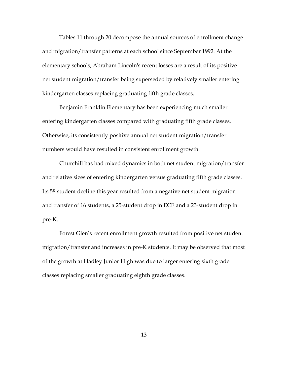Tables 11 through 20 decompose the annual sources of enrollment change and migration/transfer patterns at each school since September 1992. At the elementary schools, Abraham Lincoln's recent losses are a result of its positive net student migration/transfer being superseded by relatively smaller entering kindergarten classes replacing graduating fifth grade classes.

Benjamin Franklin Elementary has been experiencing much smaller entering kindergarten classes compared with graduating fifth grade classes. Otherwise, its consistently positive annual net student migration/transfer numbers would have resulted in consistent enrollment growth.

Churchill has had mixed dynamics in both net student migration/transfer and relative sizes of entering kindergarten versus graduating fifth grade classes. Its 58 student decline this year resulted from a negative net student migration and transfer of 16 students, a 25-student drop in ECE and a 23-student drop in pre-K.

Forest Glen's recent enrollment growth resulted from positive net student migration/transfer and increases in pre-K students. It may be observed that most of the growth at Hadley Junior High was due to larger entering sixth grade classes replacing smaller graduating eighth grade classes.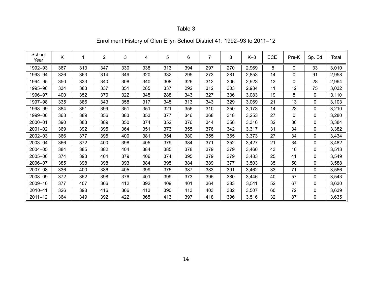| School<br>Year | Κ   |     | $\overline{2}$ | 3   | 4   | 5   | 6   |     | 8   | $K-8$ | <b>ECE</b> | Pre-K    | Sp. Ed       | Total |
|----------------|-----|-----|----------------|-----|-----|-----|-----|-----|-----|-------|------------|----------|--------------|-------|
| 1992-93        | 367 | 313 | 347            | 330 | 338 | 313 | 394 | 297 | 270 | 2,969 | 8          | $\Omega$ | 33           | 3,010 |
| 1993-94        | 326 | 363 | 314            | 349 | 320 | 332 | 295 | 273 | 281 | 2,853 | 14         | 0        | 91           | 2,958 |
| 1994-95        | 350 | 333 | 340            | 308 | 340 | 308 | 326 | 312 | 306 | 2,923 | 13         | 0        | 28           | 2,964 |
| 1995-96        | 334 | 383 | 337            | 351 | 285 | 337 | 292 | 312 | 303 | 2,934 | 11         | 12       | 75           | 3,032 |
| 1996-97        | 400 | 352 | 370            | 322 | 345 | 288 | 343 | 327 | 336 | 3,083 | 19         | 8        | $\mathbf{0}$ | 3,110 |
| 1997-98        | 335 | 386 | 343            | 358 | 317 | 345 | 313 | 343 | 329 | 3,069 | 21         | 13       | $\mathbf 0$  | 3,103 |
| 1998-99        | 384 | 351 | 399            | 351 | 351 | 321 | 356 | 310 | 350 | 3,173 | 14         | 23       | $\mathbf{0}$ | 3,210 |
| 1999-00        | 363 | 389 | 356            | 383 | 353 | 377 | 346 | 368 | 318 | 3,253 | 27         | 0        | 0            | 3,280 |
| 2000-01        | 390 | 383 | 389            | 350 | 374 | 352 | 376 | 344 | 358 | 3,316 | 32         | 36       | $\mathbf{0}$ | 3,384 |
| 2001-02        | 369 | 392 | 395            | 364 | 351 | 373 | 355 | 376 | 342 | 3,317 | 31         | 34       | $\mathbf{0}$ | 3,382 |
| 2002-03        | 366 | 377 | 395            | 400 | 381 | 354 | 380 | 355 | 365 | 3,373 | 27         | 34       | $\mathbf 0$  | 3,434 |
| 2003-04        | 366 | 372 | 400            | 398 | 405 | 379 | 384 | 371 | 352 | 3,427 | 21         | 34       | $\mathbf 0$  | 3,482 |
| 2004-05        | 384 | 385 | 382            | 404 | 384 | 385 | 378 | 379 | 379 | 3,460 | 43         | 10       | 0            | 3,513 |
| 2005-06        | 374 | 393 | 404            | 379 | 406 | 374 | 395 | 379 | 379 | 3,483 | 25         | 41       | $\mathbf{0}$ | 3,549 |
| 2006-07        | 385 | 398 | 398            | 393 | 384 | 395 | 384 | 389 | 377 | 3,503 | 35         | 50       | $\mathbf{0}$ | 3,588 |
| 2007-08        | 336 | 400 | 386            | 405 | 399 | 375 | 387 | 383 | 391 | 3,462 | 33         | 71       | $\mathbf{0}$ | 3,566 |
| 2008-09        | 372 | 352 | 398            | 376 | 401 | 399 | 373 | 395 | 380 | 3,446 | 40         | 57       | $\mathbf 0$  | 3,543 |
| 2009-10        | 377 | 407 | 366            | 412 | 392 | 409 | 401 | 364 | 383 | 3,511 | 52         | 67       | $\mathbf{0}$ | 3,630 |
| $2010 - 11$    | 326 | 398 | 416            | 366 | 413 | 390 | 413 | 403 | 382 | 3,507 | 60         | 72       | $\mathbf{0}$ | 3,639 |
| $2011 - 12$    | 364 | 349 | 392            | 422 | 365 | 413 | 397 | 418 | 396 | 3,516 | 32         | 87       | 0            | 3,635 |

# Enrollment History of Glen Ellyn School District 41: 1992–93 to 2011–12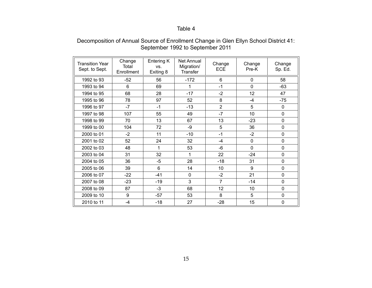#### Decomposition of Annual Source of Enrollment Change in Glen Ellyn School District 41: September 1992 to September 2011

| Transition Year<br>Sept. to Sept. | Change<br>Total<br>Enrollment | Entering K<br>VS.<br>Exiting 8 | Net Annual<br>Migration/<br>Transfer | Change<br><b>ECE</b> | Change<br>Pre-K | Change<br>Sp. Ed. |
|-----------------------------------|-------------------------------|--------------------------------|--------------------------------------|----------------------|-----------------|-------------------|
| 1992 to 93                        | $-52$                         | 56                             | $-172$                               | 6                    | $\Omega$        | 58                |
| 1993 to 94                        | 6                             | 69                             | 1                                    | $-1$                 | $\mathbf 0$     | $-63$             |
| 1994 to 95                        | 68                            | 28                             | $-17$                                | $-2$                 | 12              | 47                |
| 1995 to 96                        | 78                            | 97                             | 52                                   | 8                    | $-4$            | $-75$             |
| 1996 to 97                        | $-7$                          | $-1$                           | $-13$                                | $\overline{2}$       | 5               | 0                 |
| 1997 to 98                        | 107                           | 55                             | 49                                   | $-7$                 | 10              | $\mathbf 0$       |
| 1998 to 99                        | 70                            | 13                             | 67                                   | 13                   | $-23$           | 0                 |
| 1999 to 00                        | 104                           | 72                             | -9                                   | 5                    | 36              | 0                 |
| 2000 to 01                        | $-2$                          | 11                             | $-10$                                | $-1$                 | $-2$            | 0                 |
| 2001 to 02                        | 52                            | 24                             | 32                                   | $-4$                 | $\mathbf 0$     | 0                 |
| 2002 to 03                        | 48                            | 1                              | 53                                   | -6                   | $\mathbf{0}$    | 0                 |
| 2003 to 04                        | 31                            | 32                             | 1                                    | 22                   | $-24$           | 0                 |
| 2004 to 05                        | 36                            | $-5$                           | 28                                   | $-18$                | 31              | 0                 |
| 2005 to 06                        | 39                            | $6\phantom{1}$                 | 14                                   | 10                   | 9               | $\Omega$          |
| 2006 to 07                        | $-22$                         | $-41$                          | $\mathbf 0$                          | $-2$                 | 21              | 0                 |
| 2007 to 08                        | $-23$                         | $-19$                          | 3                                    | $\overline{7}$       | $-14$           | $\mathbf 0$       |
| 2008 to 09                        | 87                            | $-3$                           | 68                                   | 12                   | 10              | 0                 |
| 2009 to 10                        | 9                             | $-57$                          | 53                                   | 8                    | 5               | $\Omega$          |
| 2010 to 11                        | -4                            | $-18$                          | 27                                   | $-28$                | 15              | 0                 |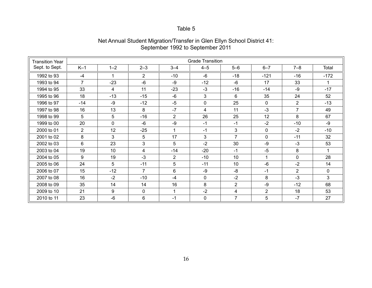| <b>Transition Year</b> |                |         |                |                | <b>Grade Transition</b> |                |                |                |             |
|------------------------|----------------|---------|----------------|----------------|-------------------------|----------------|----------------|----------------|-------------|
| Sept. to Sept.         | $K-1$          | $1 - 2$ | $2 - 3$        | $3 - 4$        | $4 - 5$                 | $5-6$          | $6 - 7$        | $7 - 8$        | Total       |
| 1992 to 93             | $-4$           | 1       | $\overline{2}$ | $-10$          | $-6$                    | $-18$          | $-121$         | $-16$          | $-172$      |
| 1993 to 94             | $\overline{7}$ | $-23$   | $-6$           | $-9$           | $-12$                   | -6             | 17             | 33             |             |
| 1994 to 95             | 33             | 4       | 11             | $-23$          | $-3$                    | $-16$          | $-14$          | -9             | $-17$       |
| 1995 to 96             | 18             | $-13$   | $-15$          | $-6$           | 3                       | 6              | 35             | 24             | 52          |
| 1996 to 97             | $-14$          | -9      | $-12$          | $-5$           | $\mathbf 0$             | 25             | $\mathbf{0}$   | $\overline{2}$ | $-13$       |
| 1997 to 98             | 16             | 13      | 8              | $-7$           | 4                       | 11             | $-3$           | $\overline{7}$ | 49          |
| 1998 to 99             | 5              | 5       | $-16$          | $\overline{2}$ | 26                      | 25             | 12             | 8              | 67          |
| 1999 to 00             | 20             | 0       | $-6$           | -9             | $-1$                    | $-1$           | $-2$           | $-10$          | $-9$        |
| 2000 to 01             | $\overline{2}$ | 12      | $-25$          | 1              | $-1$                    | 3              | 0              | $-2$           | $-10$       |
| 2001 to 02             | 8              | 3       | 5              | 17             | 3                       | $\overline{7}$ | $\mathbf 0$    | $-11$          | 32          |
| 2002 to 03             | 6              | 23      | 3              | 5              | $-2$                    | 30             | $-9$           | $-3$           | 53          |
| 2003 to 04             | 19             | 10      | 4              | $-14$          | $-20$                   | $-1$           | $-5$           | 8              |             |
| 2004 to 05             | 9              | 19      | $-3$           | $\overline{2}$ | $-10$                   | 10             | $\mathbf{1}$   | $\mathbf 0$    | 28          |
| 2005 to 06             | 24             | 5       | $-11$          | 5              | $-11$                   | 10             | $-6$           | $-2$           | 14          |
| 2006 to 07             | 15             | $-12$   | $\overline{7}$ | 6              | $-9$                    | -8             | $-1$           | $\overline{2}$ | $\mathbf 0$ |
| 2007 to 08             | 16             | $-2$    | $-10$          | $-4$           | $\mathbf 0$             | $-2$           | 8              | $-3$           | 3           |
| 2008 to 09             | 35             | 14      | 14             | 16             | 8                       | $\overline{2}$ | $-9$           | $-12$          | 68          |
| 2009 to 10             | 21             | 9       | $\mathbf{0}$   | $\mathbf 1$    | $-2$                    | 4              | $\overline{2}$ | 18             | 53          |
| 2010 to 11             | 23             | -6      | 6              | $-1$           | 0                       | $\overline{7}$ | 5              | $-7$           | 27          |

#### Net Annual Student Migration/Transfer in Glen Ellyn School District 41: September 1992 to September 2011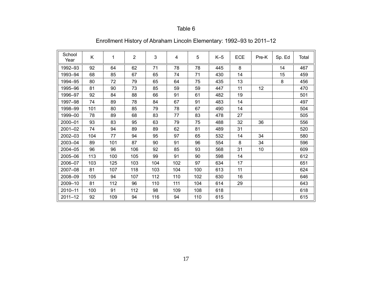| School<br>Year | Κ   | 1   | $\overline{2}$ | 3   | 4   | 5   | $K-5$ | <b>ECE</b> | Pre-K           | Sp. Ed | Total |
|----------------|-----|-----|----------------|-----|-----|-----|-------|------------|-----------------|--------|-------|
| 1992-93        | 92  | 64  | 62             | 71  | 78  | 78  | 445   | 8          |                 | 14     | 467   |
| 1993-94        | 68  | 85  | 67             | 65  | 74  | 71  | 430   | 14         |                 | 15     | 459   |
| 1994-95        | 80  | 72  | 79             | 65  | 64  | 75  | 435   | 13         |                 | 8      | 456   |
| 1995-96        | 81  | 90  | 73             | 85  | 59  | 59  | 447   | 11         | 12              |        | 470   |
| 1996-97        | 92  | 84  | 88             | 66  | 91  | 61  | 482   | 19         |                 |        | 501   |
| 1997-98        | 74  | 89  | 78             | 84  | 67  | 91  | 483   | 14         |                 |        | 497   |
| 1998-99        | 101 | 80  | 85             | 79  | 78  | 67  | 490   | 14         |                 |        | 504   |
| 1999-00        | 78  | 89  | 68             | 83  | 77  | 83  | 478   | 27         |                 |        | 505   |
| 2000-01        | 93  | 83  | 95             | 63  | 79  | 75  | 488   | 32         | 36              |        | 556   |
| $2001 - 02$    | 74  | 94  | 89             | 89  | 62  | 81  | 489   | 31         |                 |        | 520   |
| 2002-03        | 104 | 77  | 94             | 95  | 97  | 65  | 532   | 14         | 34              |        | 580   |
| 2003-04        | 89  | 101 | 87             | 90  | 91  | 96  | 554   | 8          | 34              |        | 596   |
| 2004-05        | 96  | 96  | 106            | 92  | 85  | 93  | 568   | 31         | 10 <sup>°</sup> |        | 609   |
| 2005-06        | 113 | 100 | 105            | 99  | 91  | 90  | 598   | 14         |                 |        | 612   |
| 2006-07        | 103 | 125 | 103            | 104 | 102 | 97  | 634   | 17         |                 |        | 651   |
| 2007-08        | 81  | 107 | 118            | 103 | 104 | 100 | 613   | 11         |                 |        | 624   |
| 2008-09        | 105 | 94  | 107            | 112 | 110 | 102 | 630   | 16         |                 |        | 646   |
| 2009-10        | 81  | 112 | 96             | 110 | 111 | 104 | 614   | 29         |                 |        | 643   |
| 2010-11        | 100 | 91  | 112            | 98  | 109 | 108 | 618   |            |                 |        | 618   |
| $2011 - 12$    | 92  | 109 | 94             | 116 | 94  | 110 | 615   |            |                 |        | 615   |

Enrollment History of Abraham Lincoln Elementary: 1992–93 to 2011–12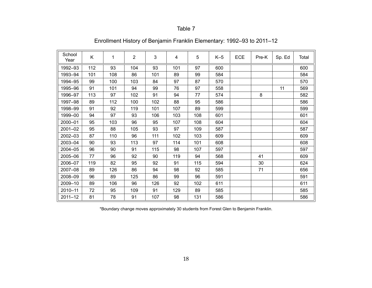| School<br>Year | Κ   | 1   | $\overline{2}$ | 3   | 4   | 5   | $K-5$ | <b>ECE</b> | Pre-K | Sp. Ed | Total |
|----------------|-----|-----|----------------|-----|-----|-----|-------|------------|-------|--------|-------|
| 1992-93        | 112 | 93  | 104            | 93  | 101 | 97  | 600   |            |       |        | 600   |
| 1993-94        | 101 | 108 | 86             | 101 | 89  | 99  | 584   |            |       |        | 584   |
| 1994-95        | 99  | 100 | 103            | 84  | 97  | 87  | 570   |            |       |        | 570   |
| 1995-96        | 91  | 101 | 94             | 99  | 76  | 97  | 558   |            |       | 11     | 569   |
| 1996-97        | 113 | 97  | 102            | 91  | 94  | 77  | 574   |            | 8     |        | 582   |
| 1997-98        | 89  | 112 | 100            | 102 | 88  | 95  | 586   |            |       |        | 586   |
| 1998-99        | 91  | 92  | 119            | 101 | 107 | 89  | 599   |            |       |        | 599   |
| 1999-00        | 94  | 97  | 93             | 106 | 103 | 108 | 601   |            |       |        | 601   |
| 2000-01        | 95  | 103 | 96             | 95  | 107 | 108 | 604   |            |       |        | 604   |
| 2001-02        | 95  | 88  | 105            | 93  | 97  | 109 | 587   |            |       |        | 587   |
| 2002-03        | 87  | 110 | 96             | 111 | 102 | 103 | 609   |            |       |        | 609   |
| 2003-04        | 90  | 93  | 113            | 97  | 114 | 101 | 608   |            |       |        | 608   |
| 2004-05        | 96  | 90  | 91             | 115 | 98  | 107 | 597   |            |       |        | 597   |
| 2005-06        | 77  | 96  | 92             | 90  | 119 | 94  | 568   |            | 41    |        | 609   |
| 2006-07        | 119 | 82  | 95             | 92  | 91  | 115 | 594   |            | 30    |        | 624   |
| 2007-08        | 89  | 126 | 86             | 94  | 98  | 92  | 585   |            | 71    |        | 656   |
| 2008-09        | 96  | 89  | 125            | 86  | 99  | 96  | 591   |            |       |        | 591   |
| 2009-10        | 89  | 106 | 96             | 126 | 92  | 102 | 611   |            |       |        | 611   |
| 2010-11        | 72  | 95  | 109            | 91  | 129 | 89  | 585   |            |       |        | 585   |
| $2011 - 12$    | 81  | 78  | 91             | 107 | 98  | 131 | 586   |            |       |        | 586   |

# Enrollment History of Benjamin Franklin Elementary: 1992–93 to 2011–12

\*Boundary change moves approximately 30 students from Forest Glen to Benjamin Franklin.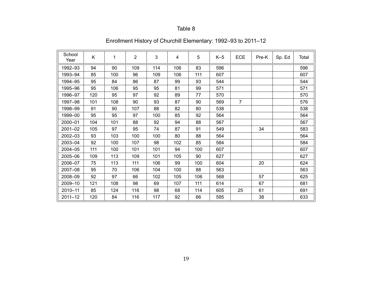| School<br>Year | Κ   | 1   | $\overline{2}$ | 3   | 4   | 5   | $K-5$ | ECE            | Pre-K | Sp. Ed | Total |
|----------------|-----|-----|----------------|-----|-----|-----|-------|----------------|-------|--------|-------|
| 1992-93        | 94  | 90  | 109            | 114 | 106 | 83  | 596   |                |       |        | 596   |
| 1993-94        | 85  | 100 | 96             | 109 | 106 | 111 | 607   |                |       |        | 607   |
| 1994-95        | 95  | 84  | 86             | 87  | 99  | 93  | 544   |                |       |        | 544   |
| 1995-96        | 95  | 106 | 95             | 95  | 81  | 99  | 571   |                |       |        | 571   |
| 1996-97        | 120 | 95  | 97             | 92  | 89  | 77  | 570   |                |       |        | 570   |
| 1997-98        | 101 | 108 | 90             | 93  | 87  | 90  | 569   | $\overline{7}$ |       |        | 576   |
| 1998-99        | 91  | 90  | 107            | 88  | 82  | 80  | 538   |                |       |        | 538   |
| 1999-00        | 95  | 95  | 97             | 100 | 85  | 92  | 564   |                |       |        | 564   |
| 2000-01        | 104 | 101 | 88             | 92  | 94  | 88  | 567   |                |       |        | 567   |
| 2001-02        | 105 | 97  | 95             | 74  | 87  | 91  | 549   |                | 34    |        | 583   |
| 2002-03        | 93  | 103 | 100            | 100 | 80  | 88  | 564   |                |       |        | 564   |
| 2003-04        | 92  | 100 | 107            | 98  | 102 | 85  | 584   |                |       |        | 584   |
| 2004-05        | 111 | 100 | 101            | 101 | 94  | 100 | 607   |                |       |        | 607   |
| 2005-06        | 109 | 113 | 109            | 101 | 105 | 90  | 627   |                |       |        | 627   |
| 2006-07        | 75  | 113 | 111            | 106 | 99  | 100 | 604   |                | 20    |        | 624   |
| 2007-08        | 95  | 70  | 106            | 104 | 100 | 88  | 563   |                |       |        | 563   |
| 2008-09        | 92  | 97  | 66             | 102 | 105 | 106 | 568   |                | 57    |        | 625   |
| 2009-10        | 121 | 108 | 98             | 69  | 107 | 111 | 614   |                | 67    |        | 681   |
| 2010-11        | 85  | 124 | 116            | 98  | 68  | 114 | 605   | 25             | 61    |        | 691   |
| $2011 - 12$    | 120 | 84  | 116            | 117 | 92  | 66  | 595   |                | 38    |        | 633   |

# Enrollment History of Churchill Elementary: 1992–93 to 2011–12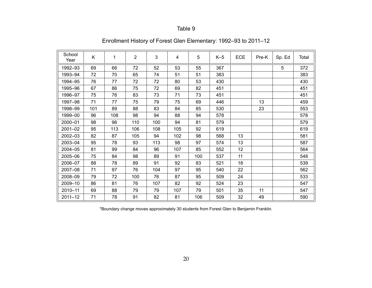| School<br>Year | Κ   | 1   | $\overline{2}$ | 3   | 4   | 5   | $K-5$ | ECE | Pre-K | Sp. Ed | Total |
|----------------|-----|-----|----------------|-----|-----|-----|-------|-----|-------|--------|-------|
| 1992-93        | 69  | 66  | 72             | 52  | 53  | 55  | 367   |     |       | 5      | 372   |
| 1993-94        | 72  | 70  | 65             | 74  | 51  | 51  | 383   |     |       |        | 383   |
| 1994-95        | 76  | 77  | 72             | 72  | 80  | 53  | 430   |     |       |        | 430   |
| 1995-96        | 67  | 86  | 75             | 72  | 69  | 82  | 451   |     |       |        | 451   |
| 1996-97        | 75  | 76  | 83             | 73  | 71  | 73  | 451   |     |       |        | 451   |
| 1997-98        | 71  | 77  | 75             | 79  | 75  | 69  | 446   |     | 13    |        | 459   |
| 1998-99        | 101 | 89  | 88             | 83  | 84  | 85  | 530   |     | 23    |        | 553   |
| 1999-00        | 96  | 108 | 98             | 94  | 88  | 94  | 578   |     |       |        | 578   |
| 2000-01        | 98  | 96  | 110            | 100 | 94  | 81  | 579   |     |       |        | 579   |
| 2001-02        | 95  | 113 | 106            | 108 | 105 | 92  | 619   |     |       |        | 619   |
| 2002-03        | 82  | 87  | 105            | 94  | 102 | 98  | 568   | 13  |       |        | 581   |
| 2003-04        | 95  | 78  | 93             | 113 | 98  | 97  | 574   | 13  |       |        | 587   |
| 2004-05        | 81  | 99  | 84             | 96  | 107 | 85  | 552   | 12  |       |        | 564   |
| 2005-06        | 75  | 84  | 98             | 89  | 91  | 100 | 537   | 11  |       |        | 548   |
| 2006-07        | 88  | 78  | 89             | 91  | 92  | 83  | 521   | 18  |       |        | 539   |
| 2007-08        | 71  | 97  | 76             | 104 | 97  | 95  | 540   | 22  |       |        | 562   |
| 2008-09        | 79  | 72  | 100            | 76  | 87  | 95  | 509   | 24  |       |        | 533   |
| 2009-10        | 86  | 81  | 76             | 107 | 82  | 92  | 524   | 23  |       |        | 547   |
| 2010-11        | 69  | 88  | 79             | 79  | 107 | 79  | 501   | 35  | 11    |        | 547   |
| $2011 - 12$    | 71  | 78  | 91             | 82  | 81  | 106 | 509   | 32  | 49    |        | 590   |

# Enrollment History of Forest Glen Elementary: 1992–93 to 2011–12

\*Boundary change moves approximately 30 students from Forest Glen to Benjamin Franklin.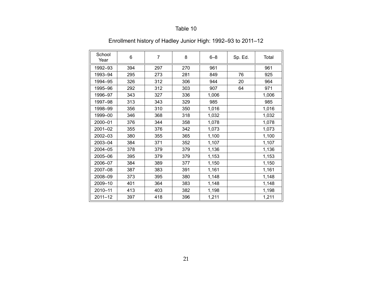| School<br>Year | 6   | $\overline{7}$ | 8   | $6 - 8$ | Sp. Ed. | Total |
|----------------|-----|----------------|-----|---------|---------|-------|
| 1992-93        | 394 | 297            | 270 | 961     |         | 961   |
| 1993-94        | 295 | 273            | 281 | 849     | 76      | 925   |
| 1994-95        | 326 | 312            | 306 | 944     | 20      | 964   |
| 1995-96        | 292 | 312            | 303 | 907     | 64      | 971   |
| 1996-97        | 343 | 327            | 336 | 1,006   |         | 1,006 |
| 1997-98        | 313 | 343            | 329 | 985     |         | 985   |
| 1998-99        | 356 | 310            | 350 | 1,016   |         | 1,016 |
| 1999-00        | 346 | 368            | 318 | 1,032   |         | 1,032 |
| 2000-01        | 376 | 344            | 358 | 1,078   |         | 1,078 |
| 2001-02        | 355 | 376            | 342 | 1,073   |         | 1,073 |
| 2002-03        | 380 | 355            | 365 | 1,100   |         | 1,100 |
| 2003-04        | 384 | 371            | 352 | 1,107   |         | 1,107 |
| 2004-05        | 378 | 379            | 379 | 1,136   |         | 1,136 |
| 2005-06        | 395 | 379            | 379 | 1,153   |         | 1,153 |
| 2006-07        | 384 | 389            | 377 | 1,150   |         | 1,150 |
| 2007-08        | 387 | 383            | 391 | 1,161   |         | 1,161 |
| 2008-09        | 373 | 395            | 380 | 1,148   |         | 1,148 |
| 2009-10        | 401 | 364            | 383 | 1,148   |         | 1,148 |
| 2010-11        | 413 | 403            | 382 | 1,198   |         | 1,198 |
| $2011 - 12$    | 397 | 418            | 396 | 1,211   |         | 1,211 |

# Enrollment history of Hadley Junior High: 1992–93 to 2011–12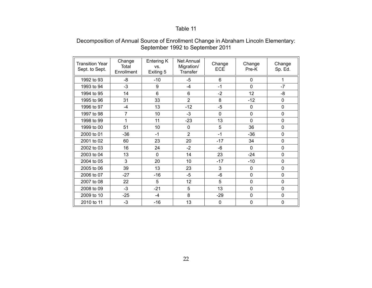#### Decomposition of Annual Source of Enrollment Change in Abraham Lincoln Elementary: September 1992 to September 2011

| Transition Year<br>Sept. to Sept. | Change<br>Total<br>Enrollment | Entering K<br>VS.<br>Exiting 5 | Net Annual<br>Migration/<br>Transfer | Change<br><b>ECE</b> | Change<br>Pre-K | Change<br>Sp. Ed. |
|-----------------------------------|-------------------------------|--------------------------------|--------------------------------------|----------------------|-----------------|-------------------|
| 1992 to 93                        | -8                            | $-10$                          | $-5$                                 | 6                    | $\mathbf{0}$    |                   |
| 1993 to 94                        | $-3$                          | 9                              | $-4$                                 | $-1$                 | $\Omega$        | $-7$              |
| 1994 to 95                        | 14                            | 6                              | 6                                    | $-2$                 | 12              | -8                |
| 1995 to 96                        | 31                            | 33                             | $\overline{2}$                       | 8                    | $-12$           | 0                 |
| 1996 to 97                        | $-4$                          | 13                             | $-12$                                | $-5$                 | $\mathbf 0$     | 0                 |
| 1997 to 98                        | $\overline{7}$                | 10                             | $-3$                                 | $\mathbf 0$          | $\mathbf 0$     | 0                 |
| 1998 to 99                        | 1                             | 11                             | $-23$                                | 13                   | $\mathbf 0$     | 0                 |
| 1999 to 00                        | 51                            | 10                             | 0                                    | 5                    | 36              | 0                 |
| 2000 to 01                        | $-36$                         | $-1$                           | $\overline{2}$                       | $-1$                 | -36             | 0                 |
| 2001 to 02                        | 60                            | 23                             | 20                                   | $-17$                | 34              | 0                 |
| 2002 to 03                        | 16                            | 24                             | $-2$                                 | -6                   | $\Omega$        | 0                 |
| 2003 to 04                        | 13                            | $\Omega$                       | 14                                   | 23                   | $-24$           | 0                 |
| 2004 to 05                        | 3                             | 20                             | 10                                   | $-17$                | $-10$           | 0                 |
| 2005 to 06                        | 39                            | 13                             | 23                                   | 3                    | $\Omega$        | 0                 |
| 2006 to 07                        | $-27$                         | $-16$                          | $-5$                                 | $-6$                 | $\mathbf 0$     | 0                 |
| 2007 to 08                        | 22                            | 5                              | 12                                   | 5                    | $\mathbf 0$     | 0                 |
| 2008 to 09                        | $-3$                          | $-21$                          | 5                                    | 13                   | $\mathbf 0$     | 0                 |
| 2009 to 10                        | $-25$                         | $-4$                           | 8                                    | $-29$                | $\mathbf{0}$    | 0                 |
| 2010 to 11                        | $-3$                          | $-16$                          | 13                                   | $\mathbf 0$          | $\mathbf 0$     | 0                 |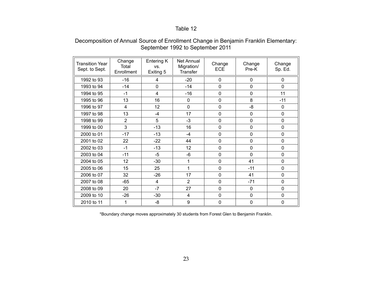### Decomposition of Annual Source of Enrollment Change in Benjamin Franklin Elementary: September 1992 to September 2011

| <b>Transition Year</b><br>Sept. to Sept. | Change<br>Total<br>Enrollment | Entering K<br>VS.<br>Exiting 5 | <b>Net Annual</b><br>Migration/<br><b>Transfer</b> | Change<br><b>ECE</b> | Change<br>Pre-K | Change<br>Sp. Ed. |
|------------------------------------------|-------------------------------|--------------------------------|----------------------------------------------------|----------------------|-----------------|-------------------|
| 1992 to 93                               | $-16$                         | 4                              | $-20$                                              | 0                    | $\mathbf{0}$    | $\mathbf{0}$      |
| 1993 to 94                               | $-14$                         | 0                              | $-14$                                              | $\mathbf 0$          | $\mathbf 0$     | $\mathbf 0$       |
| 1994 to 95                               | $-1$                          | $\overline{\mathbf{4}}$        | $-16$                                              | $\mathbf 0$          | $\mathbf{0}$    | 11                |
| 1995 to 96                               | 13                            | 16                             | 0                                                  | $\mathbf 0$          | 8               | $-11$             |
| 1996 to 97                               | 4                             | 12                             | $\mathbf 0$                                        | $\mathbf 0$          | $-8$            | 0                 |
| 1997 to 98                               | 13                            | -4                             | 17                                                 | $\mathbf 0$          | $\Omega$        | $\mathbf 0$       |
| 1998 to 99                               | $\overline{2}$                | 5                              | $-3$                                               | $\mathbf 0$          | $\mathbf 0$     | $\mathbf 0$       |
| 1999 to 00                               | 3                             | $-13$                          | 16                                                 | $\mathbf 0$          | $\mathbf 0$     | $\mathbf 0$       |
| 2000 to 01                               | $-17$                         | $-13$                          | $-4$                                               | $\mathbf 0$          | $\mathbf 0$     | 0                 |
| 2001 to 02                               | 22                            | $-22$                          | 44                                                 | $\mathbf 0$          | $\mathbf 0$     | $\mathbf 0$       |
| 2002 to 03                               | $-1$                          | $-13$                          | 12                                                 | $\mathbf 0$          | $\mathbf 0$     | 0                 |
| 2003 to 04                               | $-11$                         | $-5$                           | $-6$                                               | 0                    | $\Omega$        | 0                 |
| 2004 to 05                               | 12                            | $-30$                          | 1                                                  | $\mathbf 0$          | 41              | 0                 |
| 2005 to 06                               | 15                            | 25                             | 1                                                  | $\mathbf 0$          | $-11$           | 0                 |
| 2006 to 07                               | 32                            | $-26$                          | 17                                                 | 0                    | 41              | 0                 |
| 2007 to 08                               | $-65$                         | $\overline{4}$                 | $\overline{2}$                                     | $\mathbf 0$          | $-71$           | 0                 |
| 2008 to 09                               | 20                            | $-7$                           | 27                                                 | $\mathbf 0$          | $\mathbf 0$     | $\mathbf 0$       |
| 2009 to 10                               | $-26$                         | $-30$                          | $\overline{4}$                                     | $\mathbf 0$          | $\Omega$        | 0                 |
| 2010 to 11                               | 1                             | -8                             | 9                                                  | $\mathbf 0$          | $\mathbf 0$     | $\mathbf 0$       |

\*Boundary change moves approximately 30 students from Forest Glen to Benjamin Franklin.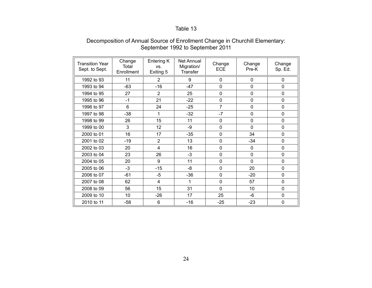#### Decomposition of Annual Source of Enrollment Change in Churchill Elementary: September 1992 to September 2011

| <b>Transition Year</b><br>Sept. to Sept. | Change<br>Total<br>Enrollment | Entering K<br>VS.<br>Exiting 5 | Net Annual<br>Migration/<br>Transfer | Change<br><b>ECE</b> | Change<br>Pre-K | Change<br>Sp. Ed. |
|------------------------------------------|-------------------------------|--------------------------------|--------------------------------------|----------------------|-----------------|-------------------|
| 1992 to 93                               | 11                            | 2                              | 9                                    | $\Omega$             | 0               | $\mathbf{0}$      |
| 1993 to 94                               | $-63$                         | $-16$                          | $-47$                                | $\mathbf 0$          | $\mathbf 0$     | $\overline{0}$    |
| 1994 to 95                               | 27                            | $\overline{2}$                 | 25                                   | $\Omega$             | $\Omega$        | $\Omega$          |
| 1995 to 96                               | $-1$                          | 21                             | $-22$                                | $\mathbf 0$          | 0               | 0                 |
| 1996 to 97                               | 6                             | 24                             | $-25$                                | $\overline{7}$       | 0               | 0                 |
| 1997 to 98                               | $-38$                         | 1                              | $-32$                                | $-7$                 | 0               | $\overline{0}$    |
| 1998 to 99                               | 26                            | 15                             | 11                                   | $\mathbf 0$          | $\mathbf 0$     | $\overline{0}$    |
| 1999 to 00                               | 3                             | 12                             | -9                                   | $\mathbf 0$          | $\mathbf 0$     | $\overline{0}$    |
| 2000 to 01                               | 16                            | 17                             | $-35$                                | $\Omega$             | 34              | 0                 |
| 2001 to 02                               | $-19$                         | $\overline{2}$                 | 13                                   | $\mathbf 0$          | $-34$           | $\overline{0}$    |
| 2002 to 03                               | 20                            | $\overline{4}$                 | 16                                   | $\mathbf 0$          | 0               | $\mathbf 0$       |
| 2003 to 04                               | 23                            | 26                             | $-3$                                 | $\Omega$             | 0               | 0                 |
| 2004 to 05                               | 20                            | 9                              | 11                                   | $\mathbf 0$          | $\mathbf{0}$    | $\Omega$          |
| 2005 to 06                               | $-3$                          | $-15$                          | -8                                   | $\overline{0}$       | 20              | $\overline{0}$    |
| 2006 to 07                               | $-61$                         | $-5$                           | $-36$                                | $\mathbf 0$          | $-20$           | $\Omega$          |
| 2007 to 08                               | 62                            | $\overline{4}$                 | 1                                    | $\mathbf 0$          | 57              | $\mathbf 0$       |
| 2008 to 09                               | 56                            | 15                             | 31                                   | $\Omega$             | 10              | $\mathbf 0$       |
| 2009 to 10                               | 10                            | $-26$                          | 17                                   | 25                   | $-6$            | $\mathbf 0$       |
| 2010 to 11                               | $-58$                         | 6                              | $-16$                                | $-25$                | $-23$           | 0                 |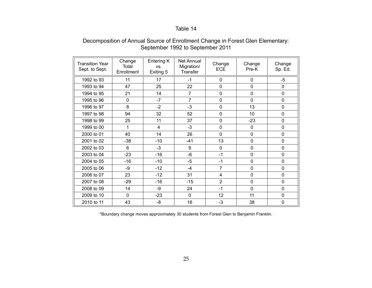### Decomposition of Annual Source of Enrollment Change in Forest Glen Elementary: September 1992 to September 2011

| <b>Transition Year</b><br>Sept. to Sept. | Change<br>Total<br>Enrollment | Entering K<br>VS.<br>Exiting 5 | Net Annual<br>Migration/<br><b>Transfer</b> | Change<br><b>ECE</b> | Change<br>Pre-K | Change<br>Sp. Ed. |
|------------------------------------------|-------------------------------|--------------------------------|---------------------------------------------|----------------------|-----------------|-------------------|
| 1992 to 93                               | 11                            | 17                             | $-1$                                        | $\Omega$             | 0               | -5                |
| 1993 to 94                               | 47                            | 25                             | 22                                          | $\mathbf 0$          | $\mathbf 0$     | $\mathbf 0$       |
| 1994 to 95                               | 21                            | 14                             | $\overline{7}$                              | $\Omega$             | $\Omega$        | $\Omega$          |
| 1995 to 96                               | $\mathbf 0$                   | $-7$                           | $\overline{7}$                              | $\mathbf 0$          | 0               | $\mathbf 0$       |
| 1996 to 97                               | 8                             | $-2$                           | $-3$                                        | $\mathbf 0$          | 13              | $\mathbf 0$       |
| 1997 to 98                               | 94                            | 32                             | 52                                          | $\Omega$             | 10              | $\Omega$          |
| 1998 to 99                               | 25                            | 11                             | 37                                          | $\overline{0}$       | $-23$           | $\mathbf 0$       |
| 1999 to 00                               | 1                             | $\overline{4}$                 | $-3$                                        | $\overline{0}$       | $\mathbf 0$     | $\mathbf 0$       |
| 2000 to 01                               | 40                            | 14                             | 26                                          | $\Omega$             | $\Omega$        | $\mathbf 0$       |
| 2001 to 02                               | $-38$                         | $-10$                          | $-41$                                       | 13                   | $\mathbf 0$     | $\mathbf 0$       |
| 2002 to 03                               | 6                             | $-3$                           | 9                                           | $\mathbf 0$          | $\Omega$        | $\Omega$          |
| 2003 to 04                               | $-23$                         | $-16$                          | $-6$                                        | $-1$                 | 0               | $\mathbf{0}$      |
| 2004 to 05                               | $-16$                         | $-10$                          | $-5$                                        | $-1$                 | $\mathbf 0$     | $\mathbf 0$       |
| 2005 to 06                               | -9                            | $-12$                          | $-4$                                        | 7                    | $\mathbf 0$     | $\mathbf 0$       |
| 2006 to 07                               | 23                            | $-12$                          | 31                                          | $\overline{4}$       | $\mathbf 0$     | $\Omega$          |
| 2007 to 08                               | $-29$                         | $-16$                          | $-15$                                       | $\overline{2}$       | $\Omega$        | $\Omega$          |
| 2008 to 09                               | 14                            | -9                             | 24                                          | $-1$                 | $\Omega$        | $\mathbf 0$       |
| 2009 to 10                               | $\Omega$                      | $-23$                          | $\Omega$                                    | 12                   | 11              | $\Omega$          |
| 2010 to 11                               | 43                            | -8                             | 16                                          | $-3$                 | 38              | $\mathbf 0$       |

\*Boundary change moves approximately 30 students from Forest Glen to Benjamin Franklin.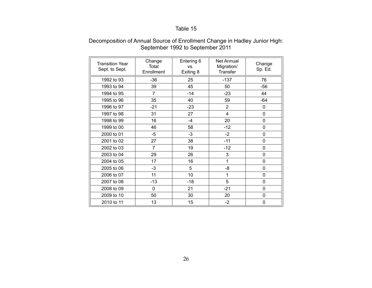| <b>Transition Year</b><br>Sept. to Sept. | Change<br>Total<br>Enrollment | Entering 6<br>VS.<br>Exiting 8 | Net Annual<br>Migration/<br><b>Transfer</b> | Change<br>Sp. Ed. |
|------------------------------------------|-------------------------------|--------------------------------|---------------------------------------------|-------------------|
| 1992 to 93                               | $-36$                         | 25                             | $-137$                                      | 76                |
| 1993 to 94                               | 39                            | 45                             | 50                                          | -56               |
| 1994 to 95                               | $\overline{7}$                | $-14$                          | $-23$                                       | 44                |
| 1995 to 96                               | 35                            | 40                             | 59                                          | $-64$             |
| 1996 to 97                               | $-21$                         | $-23$                          | $\overline{2}$                              | 0                 |
| 1997 to 98                               | 31                            | 27                             | $\overline{4}$                              | 0                 |
| 1998 to 99                               | 16                            | $-4$                           | 20                                          | 0                 |
| 1999 to 00                               | 46                            | 58                             | $-12$                                       | 0                 |
| 2000 to 01                               | $-5$                          | $-3$                           | $-2$                                        | 0                 |
| 2001 to 02                               | 27                            | 38                             | $-11$                                       | 0                 |
| 2002 to 03                               | 7                             | 19                             | $-12$                                       | 0                 |
| 2003 to 04                               | 29                            | 26                             | 3                                           | 0                 |
| 2004 to 05                               | 17                            | 16                             | 1                                           | 0                 |
| 2005 to 06                               | $-3$                          | 5                              | -8                                          | 0                 |
| 2006 to 07                               | 11                            | 10                             | 1                                           | 0                 |
| 2007 to 08                               | $-13$                         | $-18$                          | 5                                           | 0                 |
| 2008 to 09                               | 0                             | 21                             | $-21$                                       | 0                 |
| 2009 to 10                               | 50                            | 30                             | 20                                          | 0                 |
| 2010 to 11                               | 13                            | 15                             | $-2$                                        | 0                 |

### Decomposition of Annual Source of Enrollment Change in Hadley Junior High: September 1992 to September 2011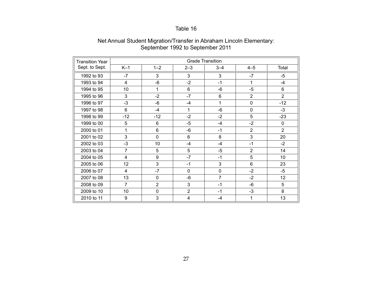| <b>Transition Year</b> |                         | <b>Grade Transition</b> |                         |                |                |                 |  |
|------------------------|-------------------------|-------------------------|-------------------------|----------------|----------------|-----------------|--|
| Sept. to Sept.         | $K-1$                   | $1 - 2$                 | $2 - 3$                 | $3 - 4$        | $4 - 5$        | Total           |  |
| 1992 to 93             | $-7$                    | 3                       | 3                       | 3              | $-7$           | -5              |  |
| 1993 to 94             | $\overline{\mathbf{4}}$ | $-6$                    | $-2$                    | $-1$           | 1              | $-4$            |  |
| 1994 to 95             | 10                      | $\mathbf 1$             | 6                       | $-6$           | $-5$           | 6               |  |
| 1995 to 96             | 3                       | $-2$                    | $-7$                    | $6\phantom{1}$ | $\overline{2}$ | $\overline{2}$  |  |
| 1996 to 97             | $-3$                    | $-6$                    | $-4$                    | 1              | $\mathbf 0$    | $-12$           |  |
| 1997 to 98             | $6\phantom{1}$          | $-4$                    | $\mathbf{1}$            | $-6$           | $\mathbf 0$    | $-3$            |  |
| 1998 to 99             | $-12$                   | $-12$                   | $-2$                    | $-2$           | 5              | $-23$           |  |
| 1999 to 00             | 5                       | 6                       | $-5$                    | $-4$           | $-2$           | 0               |  |
| 2000 to 01             | 1                       | 6                       | $-6$                    | $-1$           | $\overline{2}$ | $\overline{2}$  |  |
| 2001 to 02             | 3                       | $\mathbf 0$             | 6                       | 8              | 3              | 20              |  |
| 2002 to 03             | $-3$                    | 10                      | $-4$                    | $-4$           | $-1$           | $-2$            |  |
| 2003 to 04             | $\overline{7}$          | 5                       | 5                       | $-5$           | $\overline{2}$ | 14              |  |
| 2004 to 05             | 4                       | 9                       | $-7$                    | $-1$           | 5              | 10              |  |
| 2005 to 06             | 12                      | 3                       | $-1$                    | 3              | 6              | 23              |  |
| 2006 to 07             | 4                       | $-7$                    | 0                       | $\mathbf 0$    | $-2$           | $-5$            |  |
| 2007 to 08             | 13                      | 0                       | $-6$                    | $\overline{7}$ | $-2$           | 12 <sub>2</sub> |  |
| 2008 to 09             | $\overline{7}$          | $\overline{2}$          | 3                       | $-1$           | -6             | 5               |  |
| 2009 to 10             | 10                      | $\mathbf 0$             | $\overline{2}$          | $-1$           | $-3$           | 8               |  |
| 2010 to 11             | 9                       | $\mathbf{3}$            | $\overline{\mathbf{4}}$ | $-4$           | 1              | 13              |  |

#### Net Annual Student Migration/Transfer in Abraham Lincoln Elementary: September 1992 to September 2011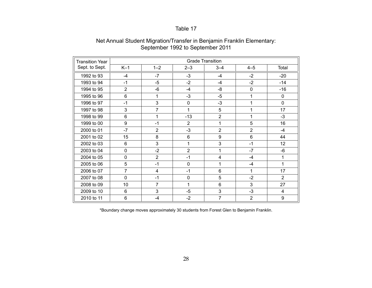| <b>Transition Year</b> | <b>Grade Transition</b> |                |                |                         |                |                 |
|------------------------|-------------------------|----------------|----------------|-------------------------|----------------|-----------------|
| Sept. to Sept.         | $K-1$                   | $1 - 2$        | $2 - 3$        | $3 - 4$                 | $4 - 5$        | Total           |
| 1992 to 93             | $-4$                    | $-7$           | $-3$           | $-4$                    | $-2$           | $-20$           |
| 1993 to 94             | $-1$                    | $-5$           | $-2$           | $-4$                    | $-2$           | $-14$           |
| 1994 to 95             | $\overline{2}$          | -6             | $-4$           | -8                      | $\mathbf 0$    | $-16$           |
| 1995 to 96             | 6                       | 1              | $-3$           | $-5$                    | $\mathbf{1}$   | 0               |
| 1996 to 97             | $-1$                    | 3              | 0              | $-3$                    | 1              | 0               |
| 1997 to 98             | 3                       | $\overline{7}$ | 1              | 5                       | 1              | 17              |
| 1998 to 99             | 6                       | 1              | $-13$          | $\overline{2}$          | 1              | $-3$            |
| 1999 to 00             | 9                       | $-1$           | $\overline{2}$ | 1                       | 5              | 16              |
| 2000 to 01             | $-7$                    | $\overline{2}$ | $-3$           | $\overline{2}$          | $\overline{2}$ | $-4$            |
| 2001 to 02             | 15                      | 8              | $6\phantom{a}$ | $\boldsymbol{9}$        | 6              | 44              |
| 2002 to 03             | 6                       | 3              | $\mathbf{1}$   | 3                       | $-1$           | 12 <sup>2</sup> |
| 2003 to 04             | $\overline{0}$          | $-2$           | $\overline{2}$ | 1                       | $-7$           | -6              |
| 2004 to 05             | 0                       | $\overline{2}$ | $-1$           | $\overline{\mathbf{4}}$ | $-4$           | 1               |
| 2005 to 06             | 5                       | $-1$           | 0              | 1                       | $-4$           | 1               |
| 2006 to 07             | 7                       | 4              | $-1$           | $6\phantom{1}6$         | 1              | 17              |
| 2007 to 08             | $\Omega$                | $-1$           | 0              | 5                       | $-2$           | $\overline{2}$  |
| 2008 to 09             | 10                      | $\overline{7}$ | $\mathbf{1}$   | $6\phantom{1}$          | 3              | 27              |
| 2009 to 10             | 6                       | 3              | $-5$           | 3                       | $-3$           | $\overline{4}$  |
| 2010 to 11             | 6                       | $-4$           | $-2$           | $\overline{7}$          | $\overline{2}$ | 9               |

#### Net Annual Student Migration/Transfer in Benjamin Franklin Elementary: September 1992 to September 2011

\*Boundary change moves approximately 30 students from Forest Glen to Benjamin Franklin.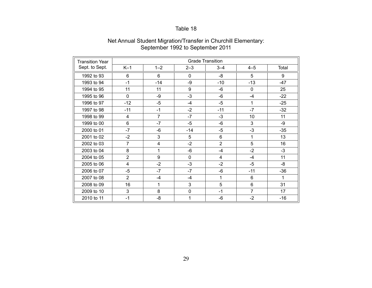| <b>Transition Year</b> | <b>Grade Transition</b> |                |              |                |                |       |
|------------------------|-------------------------|----------------|--------------|----------------|----------------|-------|
| Sept. to Sept.         | $K-1$                   | $1 - 2$        | $2 - 3$      | $3 - 4$        | $4 - 5$        | Total |
| 1992 to 93             | 6                       | $6\phantom{1}$ | $\mathbf 0$  | -8             | 5              | 9     |
| 1993 to 94             | $-1$                    | $-14$          | -9           | $-10$          | $-13$          | $-47$ |
| 1994 to 95             | 11                      | 11             | 9            | -6             | 0              | 25    |
| 1995 to 96             | $\mathbf 0$             | -9             | $-3$         | $-6$           | $-4$           | $-22$ |
| 1996 to 97             | $-12$                   | -5             | $-4$         | $-5$           | 1              | $-25$ |
| 1997 to 98             | $-11$                   | $-1$           | $-2$         | $-11$          | $-7$           | $-32$ |
| 1998 to 99             | 4                       | $\overline{7}$ | $-7$         | $-3$           | 10             | 11    |
| 1999 to 00             | 6                       | $-7$           | $-5$         | $-6$           | 3              | -9    |
| 2000 to 01             | $-7$                    | $-6$           | $-14$        | $-5$           | $-3$           | $-35$ |
| 2001 to 02             | $-2$                    | 3              | 5            | $6\phantom{1}$ | 1              | 13    |
| 2002 to 03             | $\overline{7}$          | 4              | $-2$         | $\overline{2}$ | 5              | 16    |
| 2003 to 04             | 8                       | 1              | $-6$         | $-4$           | $-2$           | $-3$  |
| 2004 to 05             | $\overline{2}$          | 9              | $\mathbf 0$  | $\overline{4}$ | $-4$           | 11    |
| 2005 to 06             | $\overline{4}$          | $-2$           | $-3$         | $-2$           | $-5$           | -8    |
| 2006 to 07             | $-5$                    | $-7$           | $-7$         | -6             | $-11$          | $-36$ |
| 2007 to 08             | $\overline{2}$          | -4             | $-4$         | 1              | 6              | 1     |
| 2008 to 09             | 16                      | 1              | 3            | 5              | 6              | 31    |
| 2009 to 10             | 3                       | 8              | $\pmb{0}$    | $-1$           | $\overline{7}$ | 17    |
| 2010 to 11             | $-1$                    | -8             | $\mathbf{1}$ | $-6$           | $-2$           | $-16$ |

#### Net Annual Student Migration/Transfer in Churchill Elementary: September 1992 to September 2011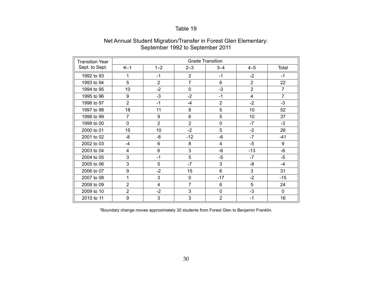| <b>Transition Year</b> |                  | <b>Grade Transition</b> |                |                |                |                |  |
|------------------------|------------------|-------------------------|----------------|----------------|----------------|----------------|--|
| Sept. to Sept.         | $K-1$            | $1 - 2$                 | $2 - 3$        | $3 - 4$        | $4 - 5$        | Total          |  |
| 1992 to 93             | 1                | $-1$                    | $\overline{2}$ | $-1$           | $-2$           | $-1$           |  |
| 1993 to 94             | 5                | $\overline{2}$          | $\overline{7}$ | 6              | $\overline{2}$ | 22             |  |
| 1994 to 95             | 10               | $-2$                    | $\mathbf 0$    | $-3$           | $\overline{2}$ | $\overline{7}$ |  |
| 1995 to 96             | 9                | $-3$                    | $-2$           | $-1$           | $\overline{4}$ | $\overline{7}$ |  |
| 1996 to 97             | $\overline{2}$   | $-1$                    | $-4$           | $\overline{2}$ | $-2$           | $-3$           |  |
| 1997 to 98             | 18               | 11                      | 8              | 5              | 10             | 52             |  |
| 1998 to 99             | $\overline{7}$   | 9                       | $6\phantom{1}$ | 5              | 10             | 37             |  |
| 1999 to 00             | $\mathbf 0$      | $\overline{2}$          | $\overline{2}$ | 0              | $-7$           | $-3$           |  |
| 2000 to 01             | 15               | 10                      | $-2$           | 5              | $-2$           | 26             |  |
| 2001 to 02             | -8               | -8                      | $-12$          | -6             | $-7$           | $-41$          |  |
| 2002 to 03             | $-4$             | 6                       | 8              | 4              | $-5$           | 9              |  |
| 2003 to 04             | 4                | 6                       | 3              | -6             | $-13$          | -6             |  |
| 2004 to 05             | 3                | $-1$                    | 5              | $-5$           | $-7$           | $-5$           |  |
| 2005 to 06             | 3                | 5                       | $-7$           | 3              | -8             | $-4$           |  |
| 2006 to 07             | $\boldsymbol{9}$ | $-2$                    | 15             | 6              | 3              | 31             |  |
| 2007 to 08             | 1                | 3                       | $\mathbf 0$    | $-17$          | $-2$           | $-15$          |  |
| 2008 to 09             | $\overline{2}$   | 4                       | $\overline{7}$ | 6              | 5              | 24             |  |
| 2009 to 10             | $\overline{2}$   | $-2$                    | 3              | $\mathbf 0$    | $-3$           | $\mathbf 0$    |  |
| 2010 to 11             | 9                | 3                       | 3              | $\overline{2}$ | $-1$           | 16             |  |

#### Net Annual Student Migration/Transfer in Forest Glen Elementary: September 1992 to September 2011

\*Boundary change moves approximately 30 students from Forest Glen to Benjamin Franklin.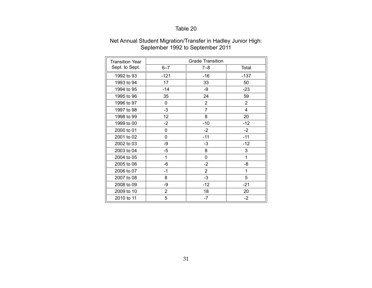| <b>Transition Year</b> |                | <b>Grade Transition</b> |                |
|------------------------|----------------|-------------------------|----------------|
| Sept. to Sept.         | $6 - 7$        | $7 - 8$                 | Total          |
| 1992 to 93             | $-121$         | $-16$                   | $-137$         |
| 1993 to 94             | 17             | 33                      | 50             |
| 1994 to 95             | $-14$          | -9                      | $-23$          |
| 1995 to 96             | 35             | 24                      | 59             |
| 1996 to 97             | 0              | $\overline{2}$          | $\overline{2}$ |
| 1997 to 98             | $-3$           | $\overline{7}$          | $\overline{4}$ |
| 1998 to 99             | 12             | 8                       | 20             |
| 1999 to 00             | $-2$           | $-10$                   | $-12$          |
| 2000 to 01             | 0              | $-2$                    | $-2$           |
| 2001 to 02             | 0              | $-11$                   | $-11$          |
| 2002 to 03             | -9             | $-3$                    | $-12$          |
| 2003 to 04             | -5             | 8                       | 3              |
| 2004 to 05             | 1              | 0                       | 1              |
| 2005 to 06             | -6             | $-2$                    | -8             |
| 2006 to 07             | $-1$           | $\overline{2}$          | 1              |
| 2007 to 08             | 8              | $-3$                    | 5              |
| 2008 to 09             | -9             | $-12$                   | $-21$          |
| 2009 to 10             | $\overline{2}$ | 18                      | 20             |
| 2010 to 11             | 5              | $-7$                    | $-2$           |

#### Net Annual Student Migration/Transfer in Hadley Junior High: September 1992 to September 2011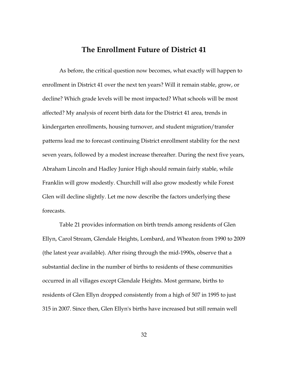### The Enrollment Future of District 41

As before, the critical question now becomes, what exactly will happen to enrollment in District 41 over the next ten years? Will it remain stable, grow, or decline? Which grade levels will be most impacted? What schools will be most affected? My analysis of recent birth data for the District 41 area, trends in kindergarten enrollments, housing turnover, and student migration/transfer patterns lead me to forecast continuing District enrollment stability for the next seven years, followed by a modest increase thereafter. During the next five years, Abraham Lincoln and Hadley Junior High should remain fairly stable, while Franklin will grow modestly. Churchill will also grow modestly while Forest Glen will decline slightly. Let me now describe the factors underlying these forecasts.

Table 21 provides information on birth trends among residents of Glen Ellyn, Carol Stream, Glendale Heights, Lombard, and Wheaton from 1990 to 2009 (the latest year available). After rising through the mid-1990s, observe that a substantial decline in the number of births to residents of these communities occurred in all villages except Glendale Heights. Most germane, births to residents of Glen Ellyn dropped consistently from a high of 507 in 1995 to just 315 in 2007. Since then, Glen Ellyn's births have increased but still remain well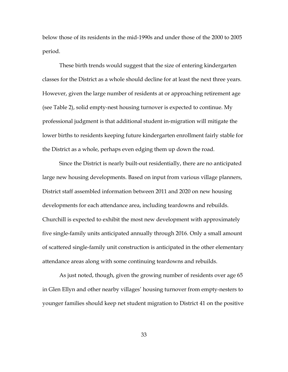below those of its residents in the mid-1990s and under those of the 2000 to 2005 period.

These birth trends would suggest that the size of entering kindergarten classes for the District as a whole should decline for at least the next three years. However, given the large number of residents at or approaching retirement age (see Table 2), solid empty-nest housing turnover is expected to continue. My professional judgment is that additional student in-migration will mitigate the lower births to residents keeping future kindergarten enrollment fairly stable for the District as a whole, perhaps even edging them up down the road.

Since the District is nearly built-out residentially, there are no anticipated large new housing developments. Based on input from various village planners, District staff assembled information between 2011 and 2020 on new housing developments for each attendance area, including teardowns and rebuilds. Churchill is expected to exhibit the most new development with approximately five single-family units anticipated annually through 2016. Only a small amount of scattered single-family unit construction is anticipated in the other elementary attendance areas along with some continuing teardowns and rebuilds.

As just noted, though, given the growing number of residents over age 65 in Glen Ellyn and other nearby villages' housing turnover from empty-nesters to younger families should keep net student migration to District 41 on the positive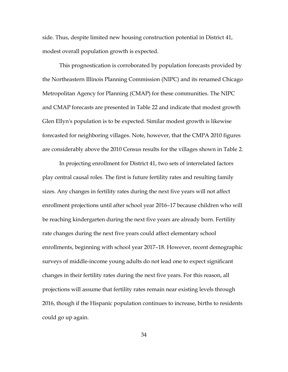side. Thus, despite limited new housing construction potential in District 41, modest overall population growth is expected.

This prognostication is corroborated by population forecasts provided by the Northeastern Illinois Planning Commission (NIPC) and its renamed Chicago Metropolitan Agency for Planning (CMAP) for these communities. The NIPC and CMAP forecasts are presented in Table 22 and indicate that modest growth Glen Ellyn's population is to be expected. Similar modest growth is likewise forecasted for neighboring villages. Note, however, that the CMPA 2010 figures are considerably above the 2010 Census results for the villages shown in Table 2.

In projecting enrollment for District 41, two sets of interrelated factors play central causal roles. The first is future fertility rates and resulting family sizes. Any changes in fertility rates during the next five years will not affect enrollment projections until after school year 2016–17 because children who will be reaching kindergarten during the next five years are already born. Fertility rate changes during the next five years could affect elementary school enrollments, beginning with school year 2017–18. However, recent demographic surveys of middle-income young adults do not lead one to expect significant changes in their fertility rates during the next five years. For this reason, all projections will assume that fertility rates remain near existing levels through 2016, though if the Hispanic population continues to increase, births to residents could go up again.

34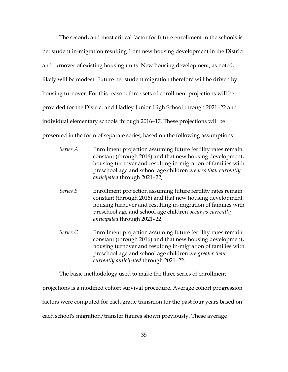The second, and most critical factor for future enrollment in the schools is net student in-migration resulting from new housing development in the District and turnover of existing housing units. New housing development, as noted, likely will be modest. Future net student migration therefore will be driven by housing turnover. For this reason, three sets of enrollment projections will be provided for the District and Hadley Junior High School through 2021–22 and individual elementary schools through 2016–17. These projections will be presented in the form of separate series, based on the following assumptions:

- Enrollment projection assuming future fertility rates remain Series A constant (through 2016) and that new housing development, housing turnover and resulting in-migration of families with preschool age and school age children are less than currently anticipated through 2021-22;
- Series B Enrollment projection assuming future fertility rates remain constant (through 2016) and that new housing development, housing turnover and resulting in-migration of families with preschool age and school age children occur as currently *anticipated* through 2021–22;
- Series C Enrollment projection assuming future fertility rates remain constant (through 2016) and that new housing development, housing turnover and resulting in-migration of families with preschool age and school age children are greater than currently anticipated through 2021-22.

The basic methodology used to make the three series of enrollment

projections is a modified cohort survival procedure. Average cohort progression factors were computed for each grade transition for the past four years based on each school's migration/transfer figures shown previously. These average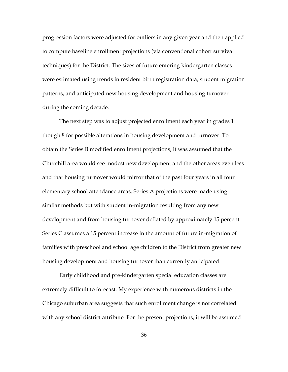progression factors were adjusted for outliers in any given year and then applied to compute baseline enrollment projections (via conventional cohort survival techniques) for the District. The sizes of future entering kindergarten classes were estimated using trends in resident birth registration data, student migration patterns, and anticipated new housing development and housing turnover during the coming decade.

The next step was to adjust projected enrollment each year in grades 1 though 8 for possible alterations in housing development and turnover. To obtain the Series B modified enrollment projections, it was assumed that the Churchill area would see modest new development and the other areas even less and that housing turnover would mirror that of the past four years in all four elementary school attendance areas. Series A projections were made using similar methods but with student in-migration resulting from any new development and from housing turnover deflated by approximately 15 percent. Series C assumes a 15 percent increase in the amount of future in-migration of families with preschool and school age children to the District from greater new housing development and housing turnover than currently anticipated.

Early childhood and pre-kindergarten special education classes are extremely difficult to forecast. My experience with numerous districts in the Chicago suburban area suggests that such enrollment change is not correlated with any school district attribute. For the present projections, it will be assumed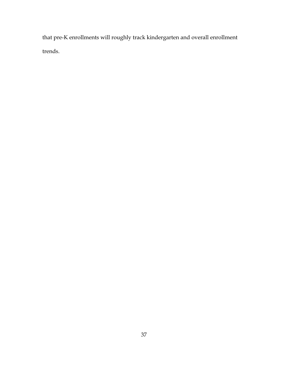that pre-K enrollments will roughly track kindergarten and overall enrollment trends.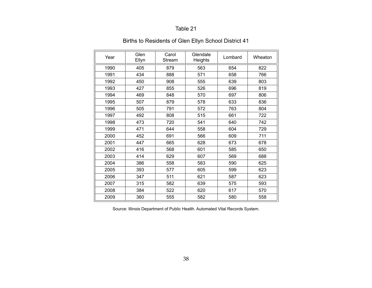# Births to Residents of Glen Ellyn School District 41

| Year | Glen<br>Ellyn | Carol<br>Stream | Glendale<br>Heights | Lombard | Wheaton |
|------|---------------|-----------------|---------------------|---------|---------|
| 1990 | 405           | 879             | 563                 | 654     | 822     |
| 1991 | 434           | 888             | 571                 | 658     | 766     |
| 1992 | 450           | 908             | 555                 | 639     | 803     |
| 1993 | 427           | 855             | 526                 | 696     | 819     |
| 1994 | 469           | 848             | 570                 | 697     | 806     |
| 1995 | 507           | 879             | 578                 | 633     | 836     |
| 1996 | 505           | 791             | 572                 | 763     | 804     |
| 1997 | 492           | 808             | 515                 | 661     | 722     |
| 1998 | 473           | 720             | 541                 | 640     | 742     |
| 1999 | 471           | 644             | 558                 | 604     | 729     |
| 2000 | 452           | 691             | 566                 | 609     | 711     |
| 2001 | 447           | 665             | 628                 | 673     | 678     |
| 2002 | 416           | 568             | 601                 | 585     | 650     |
| 2003 | 414           | 629             | 607                 | 569     | 688     |
| 2004 | 386           | 558             | 583                 | 590     | 625     |
| 2005 | 393           | 577             | 605                 | 599     | 623     |
| 2006 | 347           | 511             | 621                 | 587     | 623     |
| 2007 | 315           | 582             | 639                 | 575     | 593     |
| 2008 | 384           | 522             | 620                 | 617     | 570     |
| 2009 | 360           | 555             | 582                 | 580     | 558     |

Source: Illinois Department of Public Health. Automated Vital Records System.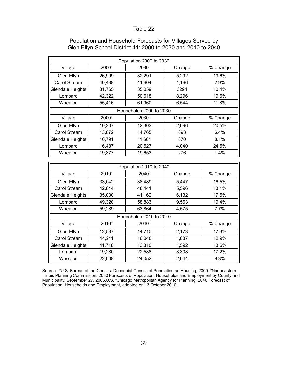|                  | Population 2000 to 2030 |                         |        |          |  |  |  |  |
|------------------|-------------------------|-------------------------|--------|----------|--|--|--|--|
| Village          | $2000$ <sup>a</sup>     | 2030 <sup>b</sup>       | Change | % Change |  |  |  |  |
| Glen Ellyn       | 26,999                  | 32,291                  | 5,292  | 19.6%    |  |  |  |  |
| Carol Stream     | 40,438                  | 41,604                  | 1,166  | 2.9%     |  |  |  |  |
| Glendale Heights | 31,765                  | 35,059                  | 3294   | 10.4%    |  |  |  |  |
| Lombard          | 42,322                  | 50,618                  | 8,296  | 19.6%    |  |  |  |  |
| Wheaton          | 55,416                  | 61,960                  | 6,544  | 11.8%    |  |  |  |  |
|                  |                         | Households 2000 to 2030 |        |          |  |  |  |  |
| Village          | 2000 <sup>a</sup>       | 2030 <sup>b</sup>       | Change | % Change |  |  |  |  |
| Glen Ellyn       | 10,207                  | 12,303                  | 2,096  | 20.5%    |  |  |  |  |
| Carol Stream     | 13,872                  | 14,765                  | 893    | 6.4%     |  |  |  |  |
| Glendale Heights | 10,791                  | 11,661                  | 870    | 8.1%     |  |  |  |  |
| Lombard          | 16,487                  | 20,527                  | 4,040  | 24.5%    |  |  |  |  |
| Wheaton          | 19,377                  | 19,653                  | 276    | 1.4%     |  |  |  |  |

## Population and Household Forecasts for Villages Served by Glen Ellyn School District 41: 2000 to 2030 and 2010 to 2040

|                         |                     | Population 2010 to 2040 |        |          |  |  |  |  |
|-------------------------|---------------------|-------------------------|--------|----------|--|--|--|--|
| Village                 | $2010$ <sup>c</sup> | $2040^\circ$            | Change | % Change |  |  |  |  |
| Glen Ellyn              | 33,042              | 38,489                  | 5,447  | 16.5%    |  |  |  |  |
| Carol Stream            | 42,844              | 48,441                  | 5,596  | 13.1%    |  |  |  |  |
| Glendale Heights        | 35,030              | 41,162                  | 6,132  | 17.5%    |  |  |  |  |
| Lombard                 | 49,320              | 58,883                  | 9,563  | 19.4%    |  |  |  |  |
| Wheaton                 | 59,289              | 63,864                  | 4,575  | $7.7\%$  |  |  |  |  |
|                         |                     | Households 2010 to 2040 |        |          |  |  |  |  |
| Village                 | $2010^{\circ}$      | $2040^\circ$            | Change | % Change |  |  |  |  |
| Glen Ellyn              | 12,537              | 14,710                  | 2,173  | 17.3%    |  |  |  |  |
| Carol Stream            | 14,211              | 16,048                  | 1,837  | 12.9%    |  |  |  |  |
| <b>Glendale Heights</b> | 11,718              | 13,310                  | 1,592  | 13.6%    |  |  |  |  |
| Lombard                 | 19,280              | 22,588                  | 3,308  | 17.2%    |  |  |  |  |
| Wheaton                 | 22,008              | 24,052                  | 2,044  | 9.3%     |  |  |  |  |

Source: <sup>a</sup>U.S. Bureau of the Census. Decennial Census of Population ad Housing, 2000. <sup>b</sup>Northeastern Illinois Planning Commission. 2030 Forecasts of Population, Households and Employment by County and Municipality. September 27, 2006.U.S. °Chicago Metropolitan Agency for Planning. 2040 Forecast of Population, Households and Employment, adopted on 13 October 2010.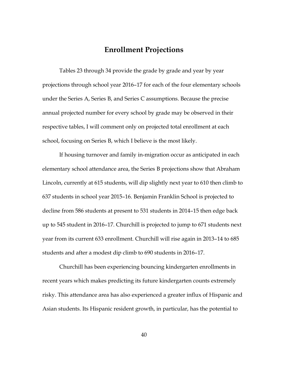## **Enrollment Projections**

Tables 23 through 34 provide the grade by grade and year by year projections through school year 2016-17 for each of the four elementary schools under the Series A, Series B, and Series C assumptions. Because the precise annual projected number for every school by grade may be observed in their respective tables, I will comment only on projected total enrollment at each school, focusing on Series B, which I believe is the most likely.

If housing turnover and family in-migration occur as anticipated in each elementary school attendance area, the Series B projections show that Abraham Lincoln, currently at 615 students, will dip slightly next year to 610 then climb to 637 students in school year 2015-16. Benjamin Franklin School is projected to decline from 586 students at present to 531 students in 2014–15 then edge back up to 545 student in 2016–17. Churchill is projected to jump to 671 students next year from its current 633 enrollment. Churchill will rise again in 2013-14 to 685 students and after a modest dip climb to 690 students in 2016-17.

Churchill has been experiencing bouncing kindergarten enrollments in recent years which makes predicting its future kindergarten counts extremely risky. This attendance area has also experienced a greater influx of Hispanic and Asian students. Its Hispanic resident growth, in particular, has the potential to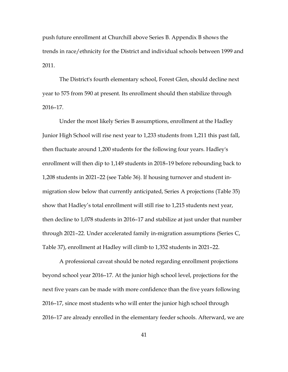push future enrollment at Churchill above Series B. Appendix B shows the trends in race/ethnicity for the District and individual schools between 1999 and  $2011.$ 

The District's fourth elementary school, Forest Glen, should decline next year to 575 from 590 at present. Its enrollment should then stabilize through  $2016 - 17.$ 

Under the most likely Series B assumptions, enrollment at the Hadley Junior High School will rise next year to 1,233 students from 1,211 this past fall, then fluctuate around 1,200 students for the following four years. Hadley's enrollment will then dip to 1,149 students in 2018–19 before rebounding back to 1,208 students in 2021–22 (see Table 36). If housing turnover and student inmigration slow below that currently anticipated, Series A projections (Table 35) show that Hadley's total enrollment will still rise to 1,215 students next year, then decline to 1,078 students in 2016–17 and stabilize at just under that number through 2021–22. Under accelerated family in-migration assumptions (Series C, Table 37), enrollment at Hadley will climb to 1,352 students in 2021–22.

A professional caveat should be noted regarding enrollment projections beyond school year 2016–17. At the junior high school level, projections for the next five years can be made with more confidence than the five years following 2016–17, since most students who will enter the junior high school through 2016-17 are already enrolled in the elementary feeder schools. Afterward, we are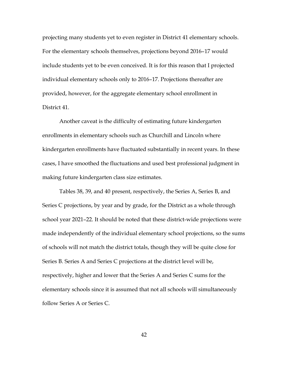projecting many students yet to even register in District 41 elementary schools. For the elementary schools themselves, projections beyond 2016-17 would include students yet to be even conceived. It is for this reason that I projected individual elementary schools only to 2016–17. Projections thereafter are provided, however, for the aggregate elementary school enrollment in District 41.

Another caveat is the difficulty of estimating future kindergarten enrollments in elementary schools such as Churchill and Lincoln where kindergarten enrollments have fluctuated substantially in recent years. In these cases, I have smoothed the fluctuations and used best professional judgment in making future kindergarten class size estimates.

Tables 38, 39, and 40 present, respectively, the Series A, Series B, and Series C projections, by year and by grade, for the District as a whole through school year 2021-22. It should be noted that these district-wide projections were made independently of the individual elementary school projections, so the sums of schools will not match the district totals, though they will be quite close for Series B. Series A and Series C projections at the district level will be, respectively, higher and lower that the Series A and Series C sums for the elementary schools since it is assumed that not all schools will simultaneously follow Series A or Series C.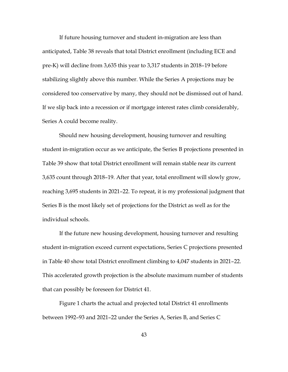If future housing turnover and student in-migration are less than anticipated, Table 38 reveals that total District enrollment (including ECE and pre-K) will decline from 3,635 this year to 3,317 students in 2018–19 before stabilizing slightly above this number. While the Series A projections may be considered too conservative by many, they should not be dismissed out of hand. If we slip back into a recession or if mortgage interest rates climb considerably, Series A could become reality.

Should new housing development, housing turnover and resulting student in-migration occur as we anticipate, the Series B projections presented in Table 39 show that total District enrollment will remain stable near its current 3,635 count through 2018–19. After that year, total enrollment will slowly grow, reaching 3,695 students in 2021–22. To repeat, it is my professional judgment that Series B is the most likely set of projections for the District as well as for the individual schools.

If the future new housing development, housing turnover and resulting student in-migration exceed current expectations, Series C projections presented in Table 40 show total District enrollment climbing to 4,047 students in 2021–22. This accelerated growth projection is the absolute maximum number of students that can possibly be foreseen for District 41.

Figure 1 charts the actual and projected total District 41 enrollments between 1992-93 and 2021-22 under the Series A, Series B, and Series C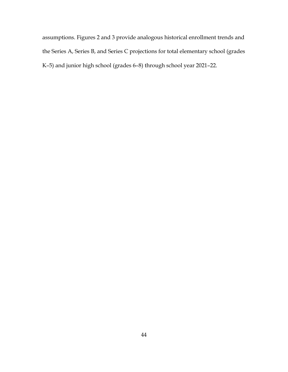assumptions. Figures 2 and 3 provide analogous historical enrollment trends and the Series A, Series B, and Series C projections for total elementary school (grades K-5) and junior high school (grades 6-8) through school year 2021-22.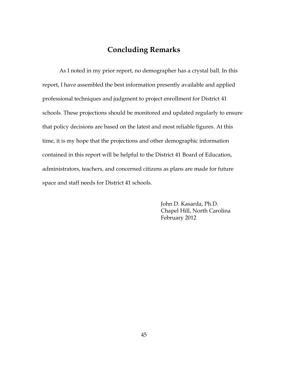## **Concluding Remarks**

As I noted in my prior report, no demographer has a crystal ball. In this report, I have assembled the best information presently available and applied professional techniques and judgment to project enrollment for District 41 schools. These projections should be monitored and updated regularly to ensure that policy decisions are based on the latest and most reliable figures. At this time, it is my hope that the projections and other demographic information contained in this report will be helpful to the District 41 Board of Education, administrators, teachers, and concerned citizens as plans are made for future space and staff needs for District 41 schools.

> John D. Kasarda, Ph.D. Chapel Hill, North Carolina February 2012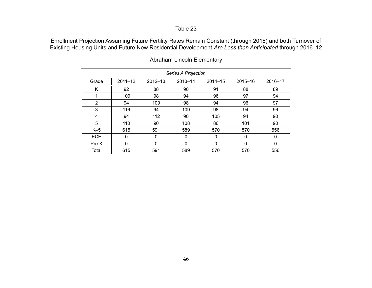Enrollment Projection Assuming Future Fertility Rates Remain Constant (through 2016) and both Turnover of Existing Housing Units and Future New Residential Development *Are Less than Anticipated* through 2016–12

|                | Series A Projection |             |             |         |          |         |  |  |
|----------------|---------------------|-------------|-------------|---------|----------|---------|--|--|
| Grade          | $2011 - 12$         | $2012 - 13$ | $2013 - 14$ | 2014-15 | 2015-16  | 2016-17 |  |  |
| Κ              | 92                  | 88          | 90          | 91      | 88       | 89      |  |  |
| 1              | 109                 | 98          | 94          | 96      | 97       | 94      |  |  |
| $\overline{2}$ | 94                  | 109         | 98          | 94      | 96       | 97      |  |  |
| 3              | 116                 | 94          | 109         | 98      | 94       | 96      |  |  |
| 4              | 94                  | 112         | 90          | 105     | 94       | 90      |  |  |
| 5              | 110                 | 90          | 108         | 86      | 101      | 90      |  |  |
| $K-5$          | 615                 | 591         | 589         | 570     | 570      | 556     |  |  |
| <b>ECE</b>     | 0                   | 0           | 0           | 0       | $\Omega$ | 0       |  |  |
| Pre-K          | 0                   | $\Omega$    | 0           | 0       | $\Omega$ | 0       |  |  |
| Total          | 615                 | 591         | 589         | 570     | 570      | 556     |  |  |

## Abraham Lincoln Elementary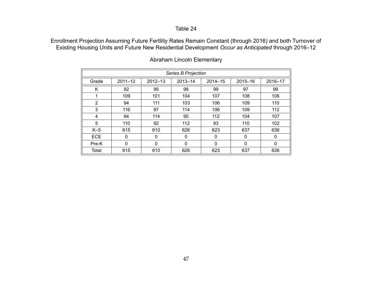Enrollment Projection Assuming Future Fertility Rates Remain Constant (through 2016) and both Turnover of Existing Housing Units and Future New Residential Development *Occur as Anticipated* through 2016–12

|                | Series B Projection |             |             |             |          |         |  |  |
|----------------|---------------------|-------------|-------------|-------------|----------|---------|--|--|
| Grade          | $2011 - 12$         | $2012 - 13$ | $2013 - 14$ | $2014 - 15$ | 2015-16  | 2016-17 |  |  |
| Κ              | 92                  | 95          | 98          | 99          | 97       | 99      |  |  |
| 1              | 109                 | 101         | 104         | 107         | 108      | 106     |  |  |
| $\overline{2}$ | 94                  | 111         | 103         | 106         | 109      | 110     |  |  |
| 3              | 116                 | 97          | 114         | 106         | 109      | 112     |  |  |
| 4              | 94                  | 114         | 95          | 112         | 104      | 107     |  |  |
| 5              | 110                 | 92          | 112         | 93          | 110      | 102     |  |  |
| $K-5$          | 615                 | 610         | 626         | 623         | 637      | 636     |  |  |
| <b>ECE</b>     | 0                   | 0           | 0           | 0           | $\Omega$ | 0       |  |  |
| Pre-K          | 0                   | $\Omega$    | 0           | 0           | $\Omega$ | 0       |  |  |
| Total          | 615                 | 610         | 626         | 623         | 637      | 636     |  |  |

## Abraham Lincoln Elementary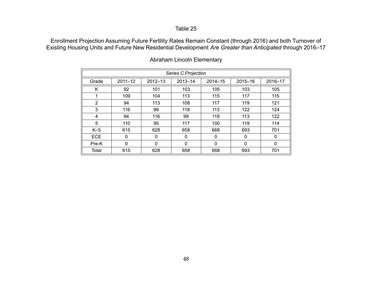Enrollment Projection Assuming Future Fertility Rates Remain Constant (through 2016) and both Turnover of Existing Housing Units and Future New Residential Development *Are Greater than Anticipated* through 2016–17

|            | Series C Projection |             |             |             |          |         |  |  |
|------------|---------------------|-------------|-------------|-------------|----------|---------|--|--|
| Grade      | $2011 - 12$         | $2012 - 13$ | $2013 - 14$ | $2014 - 15$ | 2015-16  | 2016-17 |  |  |
| K          | 92                  | 101         | 103         | 105         | 103      | 105     |  |  |
|            | 109                 | 104         | 113         | 115         | 117      | 115     |  |  |
| 2          | 94                  | 113         | 108         | 117         | 119      | 121     |  |  |
| 3          | 116                 | 99          | 118         | 113         | 122      | 124     |  |  |
| 4          | 94                  | 116         | 99          | 118         | 113      | 122     |  |  |
| 5          | 110                 | 95          | 117         | 100         | 119      | 114     |  |  |
| $K-5$      | 615                 | 628         | 658         | 668         | 693      | 701     |  |  |
| <b>ECE</b> | 0                   | $\Omega$    | 0           | 0           | $\Omega$ | 0       |  |  |
| Pre-K      | 0                   | $\Omega$    | 0           | 0           | $\Omega$ | 0       |  |  |
| Total      | 615                 | 628         | 658         | 668         | 693      | 701     |  |  |

## Abraham Lincoln Elementary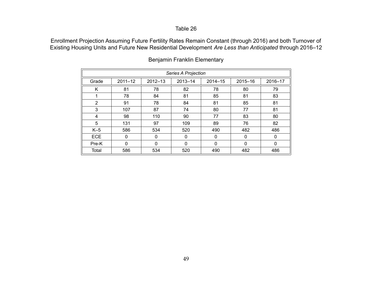Enrollment Projection Assuming Future Fertility Rates Remain Constant (through 2016) and both Turnover of Existing Housing Units and Future New Residential Development *Are Less than Anticipated* through 2016–12

|            | Series A Projection |             |             |             |          |         |  |  |
|------------|---------------------|-------------|-------------|-------------|----------|---------|--|--|
| Grade      | $2011 - 12$         | $2012 - 13$ | $2013 - 14$ | $2014 - 15$ | 2015-16  | 2016-17 |  |  |
| Κ          | 81                  | 78          | 82          | 78          | 80       | 79      |  |  |
|            | 78                  | 84          | 81          | 85          | 81       | 83      |  |  |
| 2          | 91                  | 78          | 84          | 81          | 85       | 81      |  |  |
| 3          | 107                 | 87          | 74          | 80          | 77       | 81      |  |  |
| 4          | 98                  | 110         | 90          | 77          | 83       | 80      |  |  |
| 5          | 131                 | 97          | 109         | 89          | 76       | 82      |  |  |
| $K-5$      | 586                 | 534         | 520         | 490         | 482      | 486     |  |  |
| <b>ECE</b> | 0                   | $\Omega$    | 0           | 0           | $\Omega$ | 0       |  |  |
| Pre-K      | $\Omega$            | $\Omega$    | $\Omega$    | 0           | $\Omega$ | 0       |  |  |
| Total      | 586                 | 534         | 520         | 490         | 482      | 486     |  |  |

## Benjamin Franklin Elementary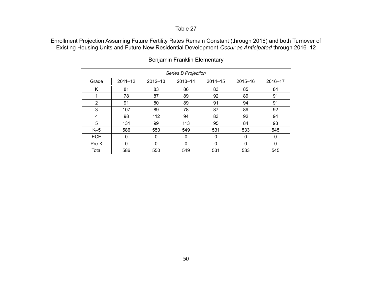Enrollment Projection Assuming Future Fertility Rates Remain Constant (through 2016) and both Turnover of Existing Housing Units and Future New Residential Development *Occur as Anticipated* through 2016–12

|            | <b>Series B Projection</b> |             |              |         |          |         |  |  |
|------------|----------------------------|-------------|--------------|---------|----------|---------|--|--|
| Grade      | $2011 - 12$                | $2012 - 13$ | 2013-14      | 2014-15 | 2015-16  | 2016-17 |  |  |
| K          | 81                         | 83          | 86           | 83      | 85       | 84      |  |  |
| 1          | 78                         | 87          | 89           | 92      | 89       | 91      |  |  |
| 2          | 91                         | 80          | 89           | 91      | 94       | 91      |  |  |
| 3          | 107                        | 89          | 78           | 87      | 89       | 92      |  |  |
| 4          | 98                         | 112         | 94           | 83      | 92       | 94      |  |  |
| 5          | 131                        | 99          | 113          | 95      | 84       | 93      |  |  |
| $K-5$      | 586                        | 550         | 549          | 531     | 533      | 545     |  |  |
| <b>ECE</b> | 0                          | $\Omega$    | 0            | 0       | $\Omega$ | 0       |  |  |
| Pre-K      | 0                          | $\Omega$    | $\mathbf{0}$ | 0       | $\Omega$ | 0       |  |  |
| Total      | 586                        | 550         | 549          | 531     | 533      | 545     |  |  |

## Benjamin Franklin Elementary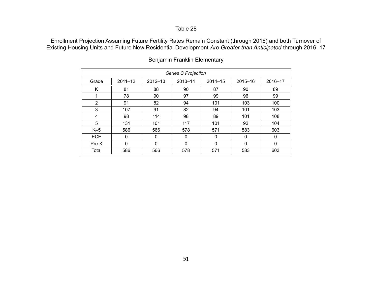Enrollment Projection Assuming Future Fertility Rates Remain Constant (through 2016) and both Turnover of Existing Housing Units and Future New Residential Development *Are Greater than Anticipated* through 2016–17

|                | Series C Projection |             |             |              |          |         |  |  |
|----------------|---------------------|-------------|-------------|--------------|----------|---------|--|--|
| Grade          | $2011 - 12$         | $2012 - 13$ | $2013 - 14$ | $2014 - 15$  | 2015-16  | 2016-17 |  |  |
| K              | 81                  | 88          | 90          | 87           | 90       | 89      |  |  |
|                | 78                  | 90          | 97          | 99           | 96       | 99      |  |  |
| $\overline{2}$ | 91                  | 82          | 94          | 101          | 103      | 100     |  |  |
| 3              | 107                 | 91          | 82          | 94           | 101      | 103     |  |  |
| 4              | 98                  | 114         | 98          | 89           | 101      | 108     |  |  |
| 5              | 131                 | 101         | 117         | 101          | 92       | 104     |  |  |
| $K-5$          | 586                 | 566         | 578         | 571          | 583      | 603     |  |  |
| <b>ECE</b>     | $\mathbf{0}$        | 0           | 0           | 0            | 0        | 0       |  |  |
| Pre-K          | 0                   | $\Omega$    | $\Omega$    | $\mathbf{0}$ | $\Omega$ | 0       |  |  |
| Total          | 586                 | 566         | 578         | 571          | 583      | 603     |  |  |

## Benjamin Franklin Elementary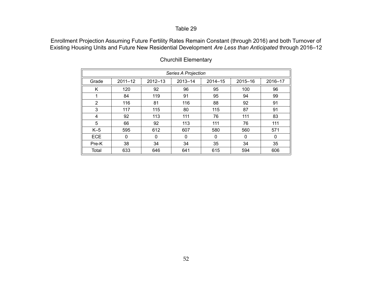Enrollment Projection Assuming Future Fertility Rates Remain Constant (through 2016) and both Turnover of Existing Housing Units and Future New Residential Development *Are Less than Anticipated* through 2016–12

|                | Series A Projection |             |             |             |             |         |  |  |
|----------------|---------------------|-------------|-------------|-------------|-------------|---------|--|--|
| Grade          | $2011 - 12$         | $2012 - 13$ | $2013 - 14$ | $2014 - 15$ | 2015-16     | 2016-17 |  |  |
| K              | 120                 | 92          | 96          | 95          | 100         | 96      |  |  |
|                | 84                  | 119         | 91          | 95          | 94          | 99      |  |  |
| $\overline{2}$ | 116                 | 81          | 116         | 88          | 92          | 91      |  |  |
| 3              | 117                 | 115         | 80          | 115         | 87          | 91      |  |  |
| 4              | 92                  | 113         | 111         | 76          | 111         | 83      |  |  |
| 5              | 66                  | 92          | 113         | 111         | 76          | 111     |  |  |
| $K-5$          | 595                 | 612         | 607         | 580         | 560         | 571     |  |  |
| <b>ECE</b>     | $\mathbf{0}$        | 0           | 0           | 0           | $\mathbf 0$ | 0       |  |  |
| Pre-K          | 38                  | 34          | 34          | 35          | 34          | 35      |  |  |
| Total          | 633                 | 646         | 641         | 615         | 594         | 606     |  |  |

## Churchill Elementary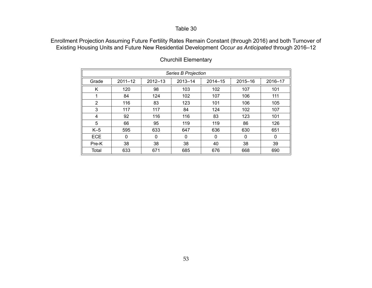Enrollment Projection Assuming Future Fertility Rates Remain Constant (through 2016) and both Turnover of Existing Housing Units and Future New Residential Development *Occur as Anticipated* through 2016–12

|            | <b>Series B Projection</b> |             |             |         |          |         |  |  |
|------------|----------------------------|-------------|-------------|---------|----------|---------|--|--|
| Grade      | $2011 - 12$                | $2012 - 13$ | $2013 - 14$ | 2014-15 | 2015-16  | 2016-17 |  |  |
| K          | 120                        | 98          | 103         | 102     | 107      | 101     |  |  |
|            | 84                         | 124         | 102         | 107     | 106      | 111     |  |  |
| 2          | 116                        | 83          | 123         | 101     | 106      | 105     |  |  |
| 3          | 117                        | 117         | 84          | 124     | 102      | 107     |  |  |
| 4          | 92                         | 116         | 116         | 83      | 123      | 101     |  |  |
| 5          | 66                         | 95          | 119         | 119     | 86       | 126     |  |  |
| $K-5$      | 595                        | 633         | 647         | 636     | 630      | 651     |  |  |
| <b>ECE</b> | 0                          | $\mathbf 0$ | $\Omega$    | 0       | $\Omega$ | 0       |  |  |
| Pre-K      | 38                         | 38          | 38          | 40      | 38       | 39      |  |  |
| Total      | 633                        | 671         | 685         | 676     | 668      | 690     |  |  |

## Churchill Elementary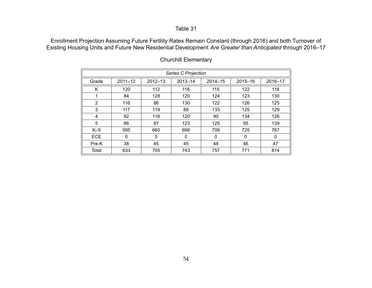Enrollment Projection Assuming Future Fertility Rates Remain Constant (through 2016) and both Turnover of Existing Housing Units and Future New Residential Development *Are Greater than Anticipated* through 2016–17

|            | Series C Projection |             |             |             |          |         |  |  |
|------------|---------------------|-------------|-------------|-------------|----------|---------|--|--|
| Grade      | $2011 - 12$         | $2012 - 13$ | $2013 - 14$ | $2014 - 15$ | 2015-16  | 2016-17 |  |  |
| K          | 120                 | 112         | 116         | 115         | 122      | 118     |  |  |
| 1          | 84                  | 128         | 120         | 124         | 123      | 130     |  |  |
| 2          | 116                 | 86          | 130         | 122         | 126      | 125     |  |  |
| 3          | 117                 | 119         | 89          | 133         | 125      | 129     |  |  |
| 4          | 92                  | 118         | 120         | 90          | 134      | 126     |  |  |
| 5          | 66                  | 97          | 123         | 125         | 95       | 139     |  |  |
| $K-5$      | 595                 | 660         | 698         | 709         | 725      | 767     |  |  |
| <b>ECE</b> | $\Omega$            | 0           | $\Omega$    | 0           | $\Omega$ | 0       |  |  |
| Pre-K      | 38                  | 45          | 45          | 48          | 46       | 47      |  |  |
| Total      | 633                 | 705         | 743         | 757         | 771      | 814     |  |  |

## Churchill Elementary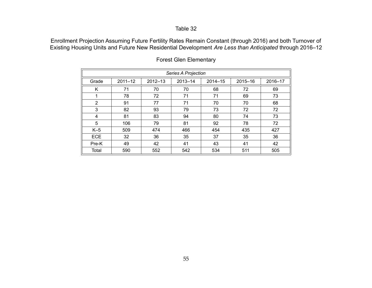Enrollment Projection Assuming Future Fertility Rates Remain Constant (through 2016) and both Turnover of Existing Housing Units and Future New Residential Development *Are Less than Anticipated* through 2016–12

|                | Series A Projection |             |             |             |         |         |  |  |  |  |  |  |  |
|----------------|---------------------|-------------|-------------|-------------|---------|---------|--|--|--|--|--|--|--|
| Grade          | $2011 - 12$         | $2012 - 13$ | $2013 - 14$ | $2014 - 15$ | 2015-16 | 2016-17 |  |  |  |  |  |  |  |
| K              | 71                  | 70          | 70          | 68          | 72      | 69      |  |  |  |  |  |  |  |
| 1              | 78                  | 72          | 71          | 71          | 69      | 73      |  |  |  |  |  |  |  |
| $\overline{2}$ | 91                  | 77          | 71          | 70          | 70      | 68      |  |  |  |  |  |  |  |
| 3              | 82                  | 93          | 79          | 73          | 72      | 72      |  |  |  |  |  |  |  |
| 4              | 81                  | 83          | 94          | 80          | 74      | 73      |  |  |  |  |  |  |  |
| 5              | 106                 | 79          | 81          | 92          | 78      | 72      |  |  |  |  |  |  |  |
| $K-5$          | 509                 | 474         | 466         | 454         | 435     | 427     |  |  |  |  |  |  |  |
| <b>ECE</b>     | 32                  | 36          | 35          | 37          | 35      | 36      |  |  |  |  |  |  |  |
| Pre-K          | 49                  | 42          | 41          | 43          | 41      | 42      |  |  |  |  |  |  |  |
| Total          | 590                 | 552         | 542         | 534         | 511     | 505     |  |  |  |  |  |  |  |

## Forest Glen Elementary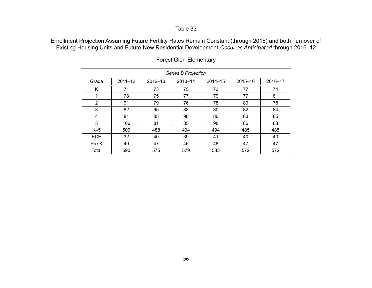Enrollment Projection Assuming Future Fertility Rates Remain Constant (through 2016) and both Turnover of Existing Housing Units and Future New Residential Development *Occur as Anticipated* through 2016–12

|                | <b>Series B Projection</b> |             |             |             |         |         |  |  |  |  |  |  |  |
|----------------|----------------------------|-------------|-------------|-------------|---------|---------|--|--|--|--|--|--|--|
| Grade          | $2011 - 12$                | $2012 - 13$ | $2013 - 14$ | $2014 - 15$ | 2015-16 | 2016-17 |  |  |  |  |  |  |  |
| Κ              | 71                         | 73          | 75          | 73          | 77      | 74      |  |  |  |  |  |  |  |
| 1              | 78                         | 75          | 77          | 79          | 77      | 81      |  |  |  |  |  |  |  |
| $\overline{2}$ | 91                         | 79          | 76          | 78          | 80      | 78      |  |  |  |  |  |  |  |
| 3              | 82                         | 95          | 83          | 80          | 82      | 84      |  |  |  |  |  |  |  |
| 4              | 81                         | 85          | 98          | 86          | 83      | 85      |  |  |  |  |  |  |  |
| 5              | 106                        | 81          | 85          | 98          | 86      | 83      |  |  |  |  |  |  |  |
| $K-5$          | 509                        | 488         | 494         | 494         | 485     | 485     |  |  |  |  |  |  |  |
| <b>ECE</b>     | 32                         | 40          | 39          | 41          | 40      | 40      |  |  |  |  |  |  |  |
| Pre-K          | 49                         | 47          | 46          | 48          | 47      | 47      |  |  |  |  |  |  |  |
| Total          | 590                        | 575         | 579         | 583         | 572     | 572     |  |  |  |  |  |  |  |

## Forest Glen Elementary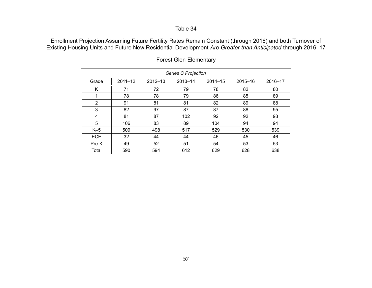Enrollment Projection Assuming Future Fertility Rates Remain Constant (through 2016) and both Turnover of Existing Housing Units and Future New Residential Development *Are Greater than Anticipated* through 2016–17

|            | Series C Projection |             |         |             |         |         |  |  |  |  |  |  |  |  |
|------------|---------------------|-------------|---------|-------------|---------|---------|--|--|--|--|--|--|--|--|
| Grade      | $2011 - 12$         | $2012 - 13$ | 2013-14 | $2014 - 15$ | 2015-16 | 2016-17 |  |  |  |  |  |  |  |  |
| Κ          | 71                  | 72          | 79      | 78          | 82      | 80      |  |  |  |  |  |  |  |  |
| 1          | 78                  | 78          | 79      | 86          | 85      | 89      |  |  |  |  |  |  |  |  |
| 2          | 91                  | 81          | 81      | 82          | 89      | 88      |  |  |  |  |  |  |  |  |
| 3          | 82                  | 97          | 87      | 87          | 88      | 95      |  |  |  |  |  |  |  |  |
| 4          | 81                  | 87          | 102     | 92          | 92      | 93      |  |  |  |  |  |  |  |  |
| 5          | 106                 | 83          | 89      | 104         | 94      | 94      |  |  |  |  |  |  |  |  |
| $K-5$      | 509                 | 498         | 517     | 529         | 530     | 539     |  |  |  |  |  |  |  |  |
| <b>ECE</b> | 32                  | 44          | 44      | 46          | 45      | 46      |  |  |  |  |  |  |  |  |
| Pre-K      | 49                  | 52          | 51      | 54          | 53      | 53      |  |  |  |  |  |  |  |  |
| Total      | 590                 | 594         | 612     | 629         | 628     | 638     |  |  |  |  |  |  |  |  |

## Forest Glen Elementary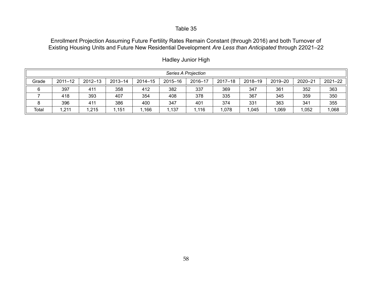Enrollment Projection Assuming Future Fertility Rates Remain Constant (through 2016) and both Turnover of Existing Housing Units and Future New Residential Development *Are Less than Anticipated* through 22021–22

|       | Series A Projection |             |             |             |         |         |             |         |         |         |             |  |  |  |
|-------|---------------------|-------------|-------------|-------------|---------|---------|-------------|---------|---------|---------|-------------|--|--|--|
| Grade | $2011 - 12$         | $2012 - 13$ | $2013 - 14$ | $2014 - 15$ | 2015-16 | 2016-17 | $2017 - 18$ | 2018-19 | 2019-20 | 2020-21 | $2021 - 22$ |  |  |  |
|       | 397                 | 411         | 358         | 412         | 382     | 337     | 369         | 347     | 361     | 352     | 363         |  |  |  |
|       | 418                 | 393         | 407         | 354         | 408     | 378     | 335         | 367     | 345     | 359     | 350         |  |  |  |
| Ω     | 396                 | 411         | 386         | 400         | 347     | 401     | 374         | 331     | 363     | 341     | 355         |  |  |  |
| Total | ,211                | ,215        | 1,151       | ,166        | 1,137   | .116    | 078         | 1,045   | 1,069   | ,052    | 068         |  |  |  |

Hadley Junior High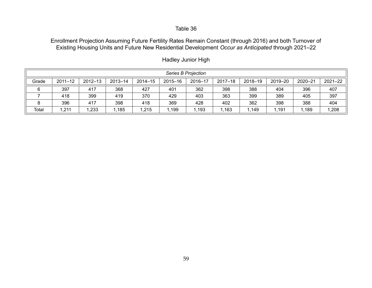Enrollment Projection Assuming Future Fertility Rates Remain Constant (through 2016) and both Turnover of Existing Housing Units and Future New Residential Development *Occur as Anticipated* through 2021–22

|       | Series B Projection |             |         |             |         |         |             |         |         |         |             |  |  |  |
|-------|---------------------|-------------|---------|-------------|---------|---------|-------------|---------|---------|---------|-------------|--|--|--|
| Grade | $2011 - 12$         | $2012 - 13$ | 2013-14 | $2014 - 15$ | 2015-16 | 2016-17 | $2017 - 18$ | 2018-19 | 2019-20 | 2020-21 | $2021 - 22$ |  |  |  |
| 6     | 397                 | 417         | 368     | 427         | 401     | 362     | 398         | 388     | 404     | 396     | 407         |  |  |  |
|       | 418                 | 399         | 419     | 370         | 429     | 403     | 363         | 399     | 389     | 405     | 397         |  |  |  |
|       | 396                 | 417         | 398     | 418         | 369     | 428     | 402         | 362     | 398     | 388     | 404         |  |  |  |
| Total | ,211                | ,233        | ,185    | 1,215       | .199    | ,193    | ,163        | ,149    | ,191    | 1,189   | 1,208       |  |  |  |

Hadley Junior High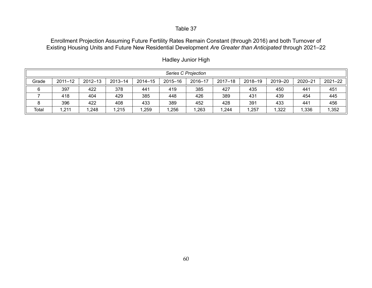Enrollment Projection Assuming Future Fertility Rates Remain Constant (through 2016) and both Turnover of Existing Housing Units and Future New Residential Development *Are Greater than Anticipated* through 2021–22

|       | Series C Projection |             |         |             |         |         |             |         |         |         |             |  |  |  |
|-------|---------------------|-------------|---------|-------------|---------|---------|-------------|---------|---------|---------|-------------|--|--|--|
| Grade | $2011 - 12$         | $2012 - 13$ | 2013-14 | $2014 - 15$ | 2015-16 | 2016-17 | $2017 - 18$ | 2018-19 | 2019-20 | 2020-21 | $2021 - 22$ |  |  |  |
| 6     | 397                 | 422         | 378     | 441         | 419     | 385     | 427         | 435     | 450     | 441     | 451         |  |  |  |
|       | 418                 | 404         | 429     | 385         | 448     | 426     | 389         | 431     | 439     | 454     | 445         |  |  |  |
|       | 396                 | 422         | 408     | 433         | 389     | 452     | 428         | 391     | 433     | 441     | 456         |  |  |  |
| Total | 211,                | ,248        | ,215    | ,259        | ,256    | 1,263   | ,244        | ,257    | ,322    | 1,336   | 1,352       |  |  |  |

Hadley Junior High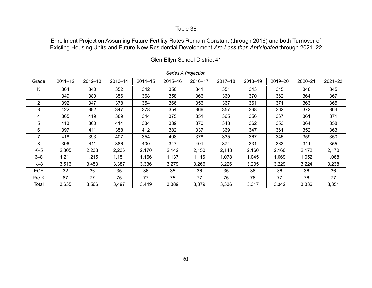Enrollment Projection Assuming Future Fertility Rates Remain Constant (through 2016) and both Turnover of Existing Housing Units and Future New Residential Development *Are Less than Anticipated* through 2021–22

|                |             |         |             |             |         | Series A Projection |             |         |         |         |         |
|----------------|-------------|---------|-------------|-------------|---------|---------------------|-------------|---------|---------|---------|---------|
| Grade          | $2011 - 12$ | 2012-13 | $2013 - 14$ | $2014 - 15$ | 2015-16 | 2016-17             | $2017 - 18$ | 2018-19 | 2019-20 | 2020-21 | 2021-22 |
| Κ              | 364         | 340     | 352         | 342         | 350     | 341                 | 351         | 343     | 345     | 348     | 345     |
|                | 349         | 380     | 356         | 368         | 358     | 366                 | 360         | 370     | 362     | 364     | 367     |
| $\overline{2}$ | 392         | 347     | 378         | 354         | 366     | 356                 | 367         | 361     | 371     | 363     | 365     |
| 3              | 422         | 392     | 347         | 378         | 354     | 366                 | 357         | 368     | 362     | 372     | 364     |
| 4              | 365         | 419     | 389         | 344         | 375     | 351                 | 365         | 356     | 367     | 361     | 371     |
| 5              | 413         | 360     | 414         | 384         | 339     | 370                 | 348         | 362     | 353     | 364     | 358     |
| 6              | 397         | 411     | 358         | 412         | 382     | 337                 | 369         | 347     | 361     | 352     | 363     |
| 7              | 418         | 393     | 407         | 354         | 408     | 378                 | 335         | 367     | 345     | 359     | 350     |
| 8              | 396         | 411     | 386         | 400         | 347     | 401                 | 374         | 331     | 363     | 341     | 355     |
| $K-5$          | 2,305       | 2,238   | 2,236       | 2,170       | 2,142   | 2,150               | 2,148       | 2,160   | 2,160   | 2,172   | 2,170   |
| $6 - 8$        | 1,211       | 1,215   | 1,151       | 1,166       | 1,137   | 1,116               | 1,078       | 1,045   | 1,069   | 1,052   | 1,068   |
| $K-8$          | 3,516       | 3,453   | 3,387       | 3,336       | 3,279   | 3,266               | 3,226       | 3,205   | 3,229   | 3,224   | 3,238   |
| <b>ECE</b>     | 32          | 36      | 35          | 36          | 35      | 36                  | 35          | 36      | 36      | 36      | 36      |
| Pre-K          | 87          | 77      | 75          | 77          | 75      | 77                  | 75          | 76      | 77      | 76      | 77      |
| Total          | 3,635       | 3,566   | 3,497       | 3,449       | 3,389   | 3,379               | 3,336       | 3,317   | 3,342   | 3,336   | 3,351   |

Glen Ellyn School District 41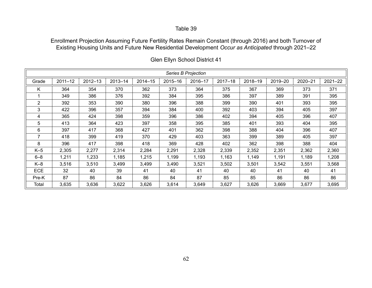Enrollment Projection Assuming Future Fertility Rates Remain Constant (through 2016) and both Turnover of Existing Housing Units and Future New Residential Development *Occur as Anticipated* through 2021–22

|            |             |         |         |             |         | Series B Projection |             |         |         |         |             |
|------------|-------------|---------|---------|-------------|---------|---------------------|-------------|---------|---------|---------|-------------|
| Grade      | $2011 - 12$ | 2012-13 | 2013-14 | $2014 - 15$ | 2015-16 | 2016-17             | $2017 - 18$ | 2018-19 | 2019-20 | 2020-21 | $2021 - 22$ |
| K          | 364         | 354     | 370     | 362         | 373     | 364                 | 375         | 367     | 369     | 373     | 371         |
|            | 349         | 386     | 376     | 392         | 384     | 395                 | 386         | 397     | 389     | 391     | 395         |
| 2          | 392         | 353     | 390     | 380         | 396     | 388                 | 399         | 390     | 401     | 393     | 395         |
| 3          | 422         | 396     | 357     | 394         | 384     | 400                 | 392         | 403     | 394     | 405     | 397         |
| 4          | 365         | 424     | 398     | 359         | 396     | 386                 | 402         | 394     | 405     | 396     | 407         |
| 5          | 413         | 364     | 423     | 397         | 358     | 395                 | 385         | 401     | 393     | 404     | 395         |
| 6          | 397         | 417     | 368     | 427         | 401     | 362                 | 398         | 388     | 404     | 396     | 407         |
| 7          | 418         | 399     | 419     | 370         | 429     | 403                 | 363         | 399     | 389     | 405     | 397         |
| 8          | 396         | 417     | 398     | 418         | 369     | 428                 | 402         | 362     | 398     | 388     | 404         |
| $K-5$      | 2,305       | 2,277   | 2,314   | 2,284       | 2,291   | 2,328               | 2,339       | 2,352   | 2,351   | 2,362   | 2,360       |
| $6 - 8$    | 1,211       | 1,233   | 1,185   | 1,215       | 1,199   | 1,193               | 1,163       | 1,149   | 1,191   | 1,189   | 1,208       |
| $K-8$      | 3,516       | 3,510   | 3,499   | 3,499       | 3,490   | 3,521               | 3,502       | 3,501   | 3,542   | 3,551   | 3,568       |
| <b>ECE</b> | 32          | 40      | 39      | 41          | 40      | 41                  | 40          | 40      | 41      | 40      | 41          |
| Pre-K      | 87          | 86      | 84      | 86          | 84      | 87                  | 85          | 85      | 86      | 86      | 86          |
| Total      | 3,635       | 3,636   | 3,622   | 3,626       | 3,614   | 3,649               | 3,627       | 3,626   | 3,669   | 3,677   | 3,695       |

Glen Ellyn School District 41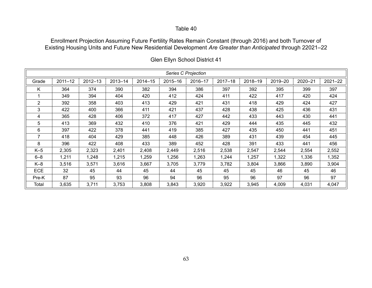Enrollment Projection Assuming Future Fertility Rates Remain Constant (through 2016) and both Turnover of Existing Housing Units and Future New Residential Development *Are Greater than Anticipated* through 22021–22

|                |             |             |             |             |         | Series C Projection |             |         |         |         |         |
|----------------|-------------|-------------|-------------|-------------|---------|---------------------|-------------|---------|---------|---------|---------|
| Grade          | $2011 - 12$ | $2012 - 13$ | $2013 - 14$ | $2014 - 15$ | 2015-16 | 2016-17             | $2017 - 18$ | 2018-19 | 2019-20 | 2020-21 | 2021-22 |
| Κ              | 364         | 374         | 390         | 382         | 394     | 386                 | 397         | 392     | 395     | 399     | 397     |
|                | 349         | 394         | 404         | 420         | 412     | 424                 | 411         | 422     | 417     | 420     | 424     |
| 2              | 392         | 358         | 403         | 413         | 429     | 421                 | 431         | 418     | 429     | 424     | 427     |
| 3              | 422         | 400         | 366         | 411         | 421     | 437                 | 428         | 438     | 425     | 436     | 431     |
| 4              | 365         | 428         | 406         | 372         | 417     | 427                 | 442         | 433     | 443     | 430     | 441     |
| 5              | 413         | 369         | 432         | 410         | 376     | 421                 | 429         | 444     | 435     | 445     | 432     |
| 6              | 397         | 422         | 378         | 441         | 419     | 385                 | 427         | 435     | 450     | 441     | 451     |
| $\overline{7}$ | 418         | 404         | 429         | 385         | 448     | 426                 | 389         | 431     | 439     | 454     | 445     |
| 8              | 396         | 422         | 408         | 433         | 389     | 452                 | 428         | 391     | 433     | 441     | 456     |
| $K-5$          | 2,305       | 2,323       | 2,401       | 2,408       | 2,449   | 2,516               | 2,538       | 2,547   | 2,544   | 2,554   | 2,552   |
| $6 - 8$        | 1,211       | 1,248       | 1,215       | 1,259       | 1,256   | 1,263               | 1,244       | 1,257   | 1,322   | 1,336   | 1,352   |
| $K-8$          | 3,516       | 3,571       | 3,616       | 3,667       | 3,705   | 3,779               | 3,782       | 3,804   | 3,866   | 3,890   | 3,904   |
| <b>ECE</b>     | 32          | 45          | 44          | 45          | 44      | 45                  | 45          | 45      | 46      | 45      | 46      |
| Pre-K          | 87          | 95          | 93          | 96          | 94      | 96                  | 95          | 96      | 97      | 96      | 97      |
| Total          | 3,635       | 3,711       | 3,753       | 3,808       | 3,843   | 3,920               | 3,922       | 3,945   | 4,009   | 4,031   | 4,047   |

Glen Ellyn School District 41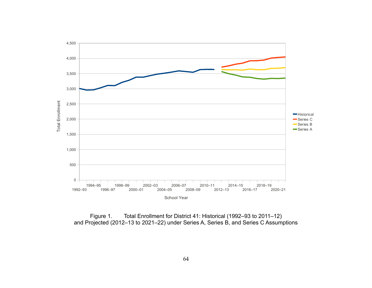

Figure 1. Total Enrollment for District 41: Historical (1992–93 to 2011–12) and Projected (2012–13 to 2021–22) under Series A, Series B, and Series C Assumptions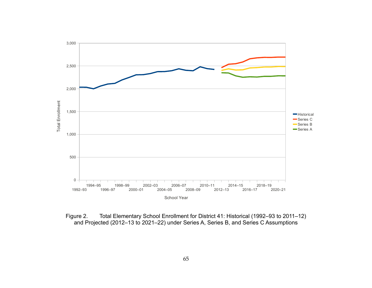

Figure 2. Total Elementary School Enrollment for District 41: Historical (1992–93 to 2011–12) and Projected (2012–13 to 2021–22) under Series A, Series B, and Series C Assumptions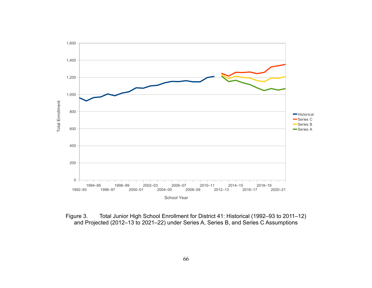

Figure 3. Total Junior High School Enrollment for District 41: Historical (1992–93 to 2011–12) and Projected (2012–13 to 2021–22) under Series A, Series B, and Series C Assumptions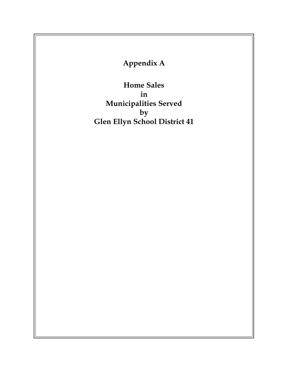**Appendix A**

**Home Sales in Municipalities Served by Glen Ellyn School District 41**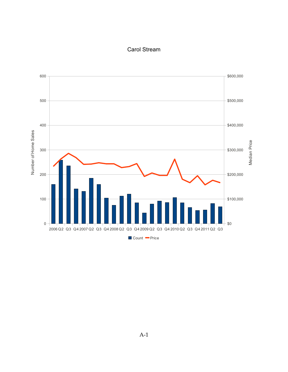## Carol Stream

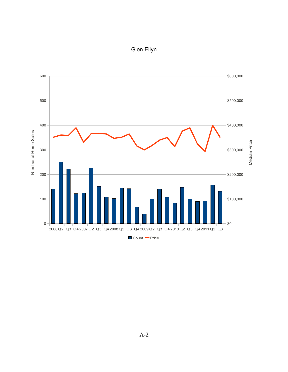# Glen Ellyn

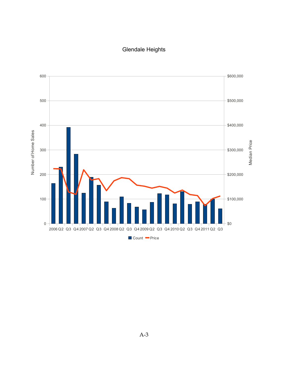## Glendale Heights

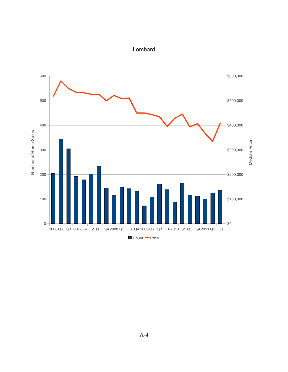

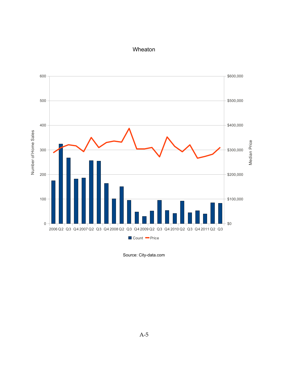#### Wheaton



Source: City-data.com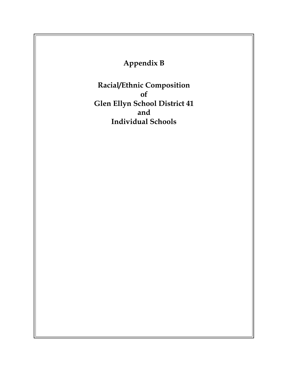**Appendix B**

**Racial/Ethnic Composition of Glen Ellyn School District 41 and Individual Schools**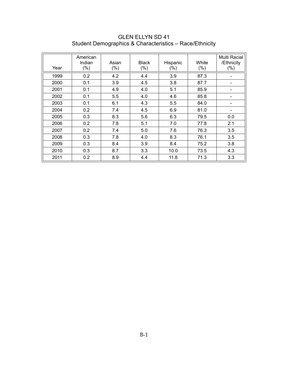| Year | American<br>Indian<br>$(\% )$ | Asian<br>$(\%)$ | <b>Black</b><br>$(\%)$ | Hispanic<br>$(\%)$ | White<br>$(\%)$ | Multi Racial<br>/Ethnicity<br>$(\% )$ |
|------|-------------------------------|-----------------|------------------------|--------------------|-----------------|---------------------------------------|
| 1999 | 0.2                           | 4.2             | 4.4                    | 3.9                | 87.3            |                                       |
| 2000 | 0.1                           | 3.9             | 4.5                    | 3.8                | 87.7            |                                       |
| 2001 | 0.1                           | 4.9             | 4.0                    | 5.1                | 85.9            |                                       |
| 2002 | 0.1                           | 5.5             | 4.0                    | 4.6                | 85.8            |                                       |
| 2003 | 0.1                           | 6.1             | 4.3                    | 5.5                | 84.0            | -                                     |
| 2004 | 0.2                           | 7.4             | 4.5                    | 6.9                | 81.0            | -                                     |
| 2005 | 0.3                           | 8.3             | 5.6                    | 6.3                | 79.5            | 0.0                                   |
| 2006 | 0.2                           | 7.8             | 5.1                    | 7.0                | 77.8            | 2.1                                   |
| 2007 | 0.2                           | 7.4             | 5.0                    | 7.6                | 76.3            | 3.5                                   |
| 2008 | 0.3                           | 7.8             | 4.0                    | 8.3                | 76.1            | 3.5                                   |
| 2009 | 0.3                           | 8.4             | 3.9                    | 8.4                | 75.2            | 3.8                                   |
| 2010 | 0.3                           | 8.7             | 3.3                    | 10.0               | 73.5            | 4.3                                   |
| 2011 | 0.2                           | 8.9             | 4.4                    | 11.8               | 71.3            | 3.3                                   |

GLEN ELLYN SD 41 Student Demographics & Characteristics – Race/Ethnicity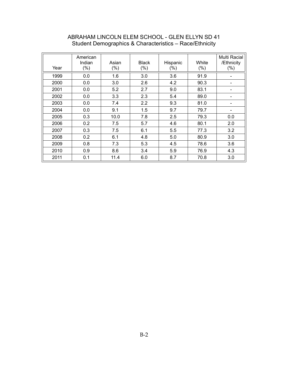| Year | American<br>Indian<br>$(\% )$ | Asian<br>$(\% )$ | <b>Black</b><br>$(\% )$ | Hispanic<br>$(\%)$ | White<br>(%) | Multi Racial<br>/Ethnicity<br>$(\% )$ |
|------|-------------------------------|------------------|-------------------------|--------------------|--------------|---------------------------------------|
| 1999 | 0.0                           | 1.6              | 3.0                     | 3.6                | 91.9         |                                       |
| 2000 | 0.0                           | 3.0              | 2.6                     | 4.2                | 90.3         |                                       |
| 2001 | 0.0                           | 5.2              | 2.7                     | 9.0                | 83.1         |                                       |
| 2002 | 0.0                           | 3.3              | 2.3                     | 5.4                | 89.0         |                                       |
| 2003 | 0.0                           | 7.4              | 2.2                     | 9.3                | 81.0         |                                       |
| 2004 | 0.0                           | 9.1              | 1.5                     | 9.7                | 79.7         | -                                     |
| 2005 | 0.3                           | 10.0             | 7.8                     | 2.5                | 79.3         | 0.0                                   |
| 2006 | 0.2                           | 7.5              | 5.7                     | 4.6                | 80.1         | 2.0                                   |
| 2007 | 0.3                           | 7.5              | 6.1                     | 5.5                | 77.3         | 3.2                                   |
| 2008 | 0.2                           | 6.1              | 4.8                     | 5.0                | 80.9         | 3.0                                   |
| 2009 | 0.8                           | 7.3              | 5.3                     | 4.5                | 78.6         | 3.6                                   |
| 2010 | 0.9                           | 8.6              | 3.4                     | 5.9                | 76.9         | 4.3                                   |
| 2011 | 0.1                           | 11.4             | 6.0                     | 8.7                | 70.8         | 3.0                                   |

#### ABRAHAM LINCOLN ELEM SCHOOL - GLEN ELLYN SD 41 Student Demographics & Characteristics – Race/Ethnicity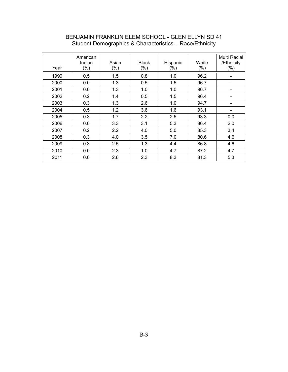| Year | American<br>Indian<br>$(\% )$ | Asian<br>$(\% )$ | <b>Black</b><br>$(\% )$ | Hispanic<br>$(\%)$ | White<br>$(\% )$ | Multi Racial<br>/Ethnicity<br>$(\% )$ |
|------|-------------------------------|------------------|-------------------------|--------------------|------------------|---------------------------------------|
| 1999 | 0.5                           | 1.5              | 0.8                     | 1.0                | 96.2             |                                       |
| 2000 | 0.0                           | 1.3              | 0.5                     | 1.5                | 96.7             | -                                     |
| 2001 | 0.0                           | 1.3              | 1.0                     | 1.0                | 96.7             |                                       |
| 2002 | 0.2                           | 1.4              | 0.5                     | 1.5                | 96.4             | -                                     |
| 2003 | 0.3                           | 1.3              | 2.6                     | 1.0                | 94.7             |                                       |
| 2004 | 0.5                           | 1.2              | 3.6                     | 1.6                | 93.1             | -                                     |
| 2005 | 0.3                           | 1.7              | 2.2                     | 2.5                | 93.3             | 0.0                                   |
| 2006 | 0.0                           | 3.3              | 3.1                     | 5.3                | 86.4             | 2.0                                   |
| 2007 | 0.2                           | 2.2              | 4.0                     | 5.0                | 85.3             | 3.4                                   |
| 2008 | 0.3                           | 4.0              | 3.5                     | 7.0                | 80.6             | 4.6                                   |
| 2009 | 0.3                           | 2.5              | 1.3                     | 4.4                | 86.8             | 4.6                                   |
| 2010 | 0.0                           | 2.3              | 1.0                     | 4.7                | 87.2             | 4.7                                   |
| 2011 | 0.0                           | 2.6              | 2.3                     | 8.3                | 81.3             | 5.3                                   |

# BENJAMIN FRANKLIN ELEM SCHOOL - GLEN ELLYN SD 41 Student Demographics & Characteristics – Race/Ethnicity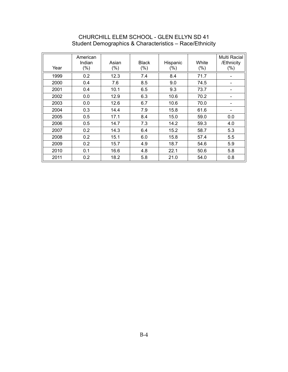# CHURCHILL ELEM SCHOOL - GLEN ELLYN SD 41 Student Demographics & Characteristics – Race/Ethnicity

| Year | American<br>Indian<br>$(\% )$ | Asian<br>$(\%)$ | <b>Black</b><br>$(\%)$ | Hispanic<br>$(\% )$ | White<br>$(\%)$ | Multi Racial<br>/Ethnicity<br>$(\% )$ |
|------|-------------------------------|-----------------|------------------------|---------------------|-----------------|---------------------------------------|
| 1999 | 0.2                           | 12.3            | 7.4                    | 8.4                 | 71.7            |                                       |
| 2000 | 0.4                           | 7.6             | 8.5                    | 9.0                 | 74.5            |                                       |
| 2001 | 0.4                           | 10.1            | 6.5                    | 9.3                 | 73.7            |                                       |
| 2002 | 0.0                           | 12.9            | 6.3                    | 10.6                | 70.2            | -                                     |
| 2003 | 0.0                           | 12.6            | 6.7                    | 10.6                | 70.0            |                                       |
| 2004 | 0.3                           | 14.4            | 7.9                    | 15.8                | 61.6            | -                                     |
| 2005 | 0.5                           | 17.1            | 8.4                    | 15.0                | 59.0            | 0.0                                   |
| 2006 | 0.5                           | 14.7            | 7.3                    | 14.2                | 59.3            | 4.0                                   |
| 2007 | 0.2                           | 14.3            | 6.4                    | 15.2                | 58.7            | 5.3                                   |
| 2008 | 0.2                           | 15.1            | 6.0                    | 15.8                | 57.4            | 5.5                                   |
| 2009 | 0.2                           | 15.7            | 4.9                    | 18.7                | 54.6            | 5.9                                   |
| 2010 | 0.1                           | 16.6            | 4.8                    | 22.1                | 50.6            | 5.8                                   |
| 2011 | 0.2                           | 18.2            | 5.8                    | 21.0                | 54.0            | 0.8                                   |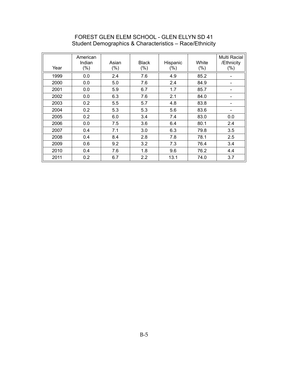# FOREST GLEN ELEM SCHOOL - GLEN ELLYN SD 41 Student Demographics & Characteristics – Race/Ethnicity

| Year | American<br>Indian<br>$(\% )$ | Asian<br>$(\%)$ | <b>Black</b><br>$(\%)$ | Hispanic<br>$(\%)$ | White<br>$(\%)$ | Multi Racial<br>/Ethnicity<br>$(\% )$ |
|------|-------------------------------|-----------------|------------------------|--------------------|-----------------|---------------------------------------|
| 1999 | 0.0                           | 2.4             | 7.6                    | 4.9                | 85.2            |                                       |
| 2000 | 0.0                           | 5.0             | 7.6                    | 2.4                | 84.9            |                                       |
| 2001 | 0.0                           | 5.9             | 6.7                    | 1.7                | 85.7            |                                       |
| 2002 | 0.0                           | 6.3             | 7.6                    | 2.1                | 84.0            | -                                     |
| 2003 | 0.2                           | 5.5             | 5.7                    | 4.8                | 83.8            |                                       |
| 2004 | 0.2                           | 5.3             | 5.3                    | 5.6                | 83.6            | -                                     |
| 2005 | 0.2                           | 6.0             | 3.4                    | 7.4                | 83.0            | 0.0                                   |
| 2006 | 0.0                           | 7.5             | 3.6                    | 6.4                | 80.1            | 2.4                                   |
| 2007 | 0.4                           | 7.1             | 3.0                    | 6.3                | 79.8            | 3.5                                   |
| 2008 | 0.4                           | 8.4             | 2.8                    | 7.8                | 78.1            | 2.5                                   |
| 2009 | 0.6                           | 9.2             | 3.2                    | 7.3                | 76.4            | 3.4                                   |
| 2010 | 0.4                           | 7.6             | 1.8                    | 9.6                | 76.2            | 4.4                                   |
| 2011 | 0.2                           | 6.7             | 2.2                    | 13.1               | 74.0            | 3.7                                   |